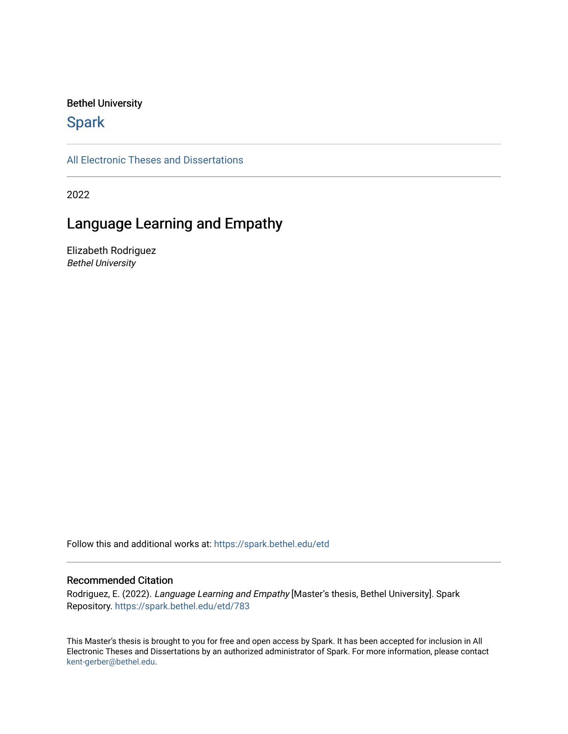### Bethel University

# **Spark**

[All Electronic Theses and Dissertations](https://spark.bethel.edu/etd) 

2022

# Language Learning and Empathy

Elizabeth Rodriguez Bethel University

Follow this and additional works at: [https://spark.bethel.edu/etd](https://spark.bethel.edu/etd?utm_source=spark.bethel.edu%2Fetd%2F783&utm_medium=PDF&utm_campaign=PDFCoverPages)

#### Recommended Citation

Rodriguez, E. (2022). Language Learning and Empathy [Master's thesis, Bethel University]. Spark Repository. [https://spark.bethel.edu/etd/783](https://spark.bethel.edu/etd/783?utm_source=spark.bethel.edu%2Fetd%2F783&utm_medium=PDF&utm_campaign=PDFCoverPages)

This Master's thesis is brought to you for free and open access by Spark. It has been accepted for inclusion in All Electronic Theses and Dissertations by an authorized administrator of Spark. For more information, please contact [kent-gerber@bethel.edu](mailto:kent-gerber@bethel.edu).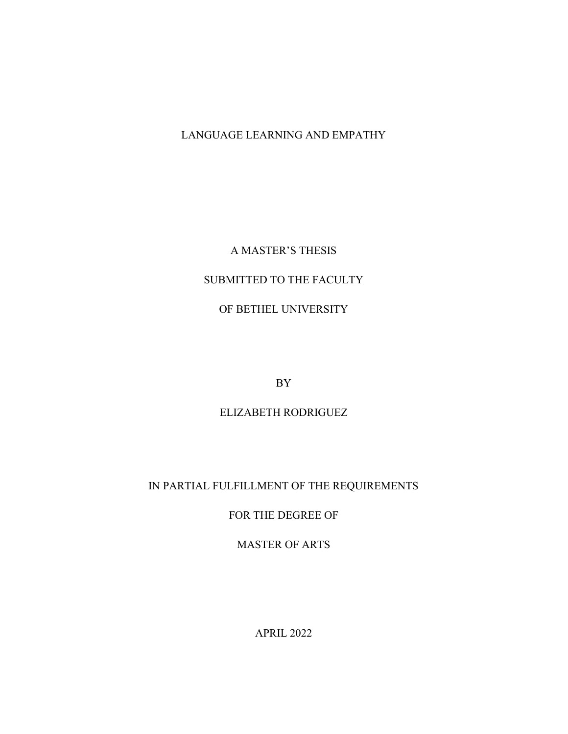# LANGUAGE LEARNING AND EMPATHY

## A MASTER'S THESIS

# SUBMITTED TO THE FACULTY

## OF BETHEL UNIVERSITY

BY

## ELIZABETH RODRIGUEZ

# IN PARTIAL FULFILLMENT OF THE REQUIREMENTS

## FOR THE DEGREE OF

## MASTER OF ARTS

APRIL 2022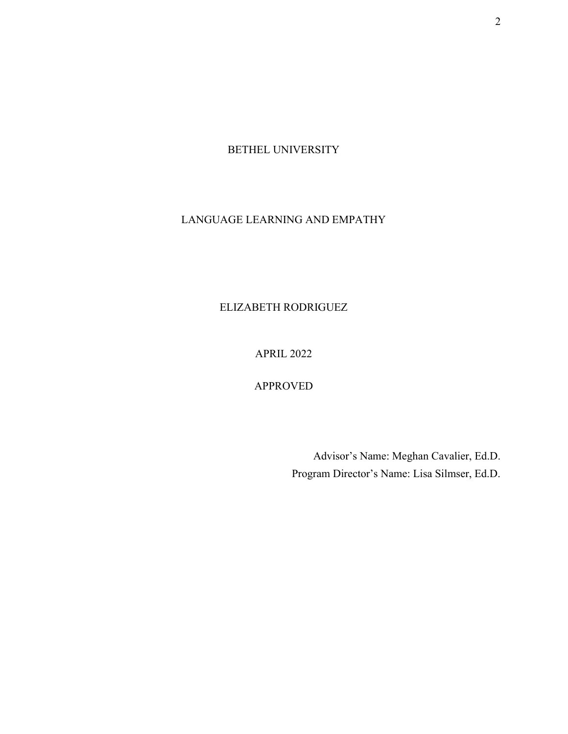BETHEL UNIVERSITY

# LANGUAGE LEARNING AND EMPATHY

ELIZABETH RODRIGUEZ

APRIL 2022

APPROVED

Advisor's Name: Meghan Cavalier, Ed.D. Program Director's Name: Lisa Silmser, Ed.D.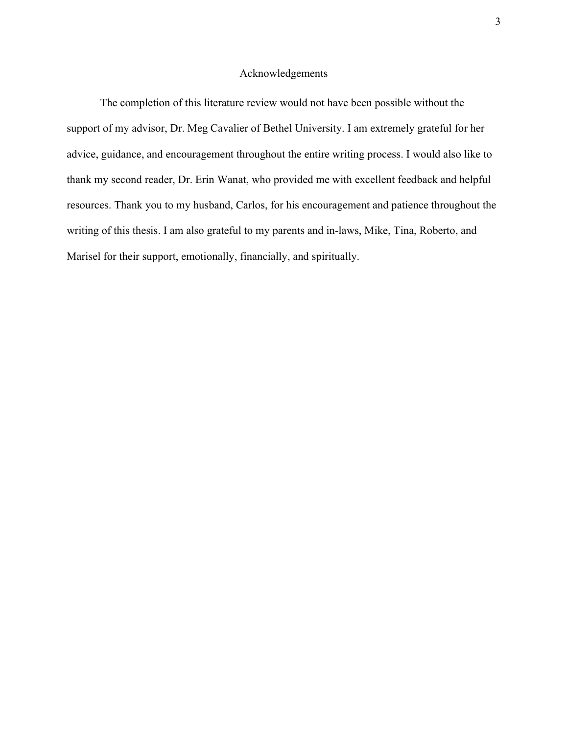#### Acknowledgements

The completion of this literature review would not have been possible without the support of my advisor, Dr. Meg Cavalier of Bethel University. I am extremely grateful for her advice, guidance, and encouragement throughout the entire writing process. I would also like to thank my second reader, Dr. Erin Wanat, who provided me with excellent feedback and helpful resources. Thank you to my husband, Carlos, for his encouragement and patience throughout the writing of this thesis. I am also grateful to my parents and in-laws, Mike, Tina, Roberto, and Marisel for their support, emotionally, financially, and spiritually.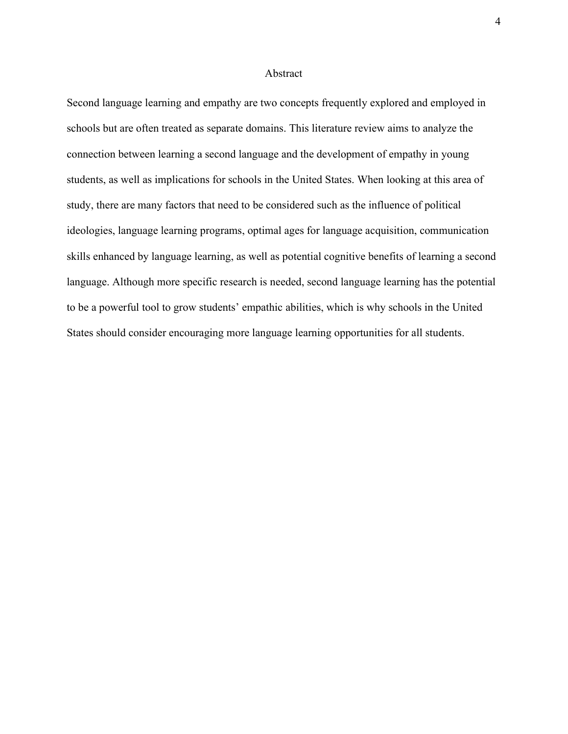#### **Abstract**

Second language learning and empathy are two concepts frequently explored and employed in schools but are often treated as separate domains. This literature review aims to analyze the connection between learning a second language and the development of empathy in young students, as well as implications for schools in the United States. When looking at this area of study, there are many factors that need to be considered such as the influence of political ideologies, language learning programs, optimal ages for language acquisition, communication skills enhanced by language learning, as well as potential cognitive benefits of learning a second language. Although more specific research is needed, second language learning has the potential to be a powerful tool to grow students' empathic abilities, which is why schools in the United States should consider encouraging more language learning opportunities for all students.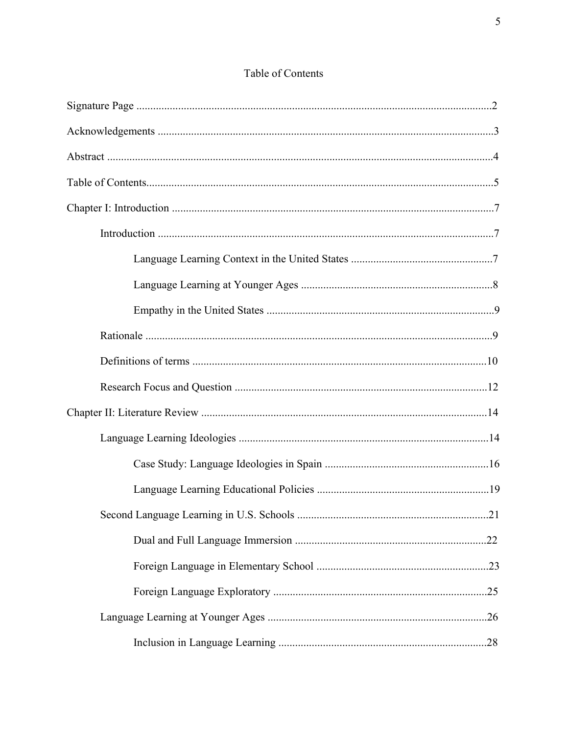# Table of Contents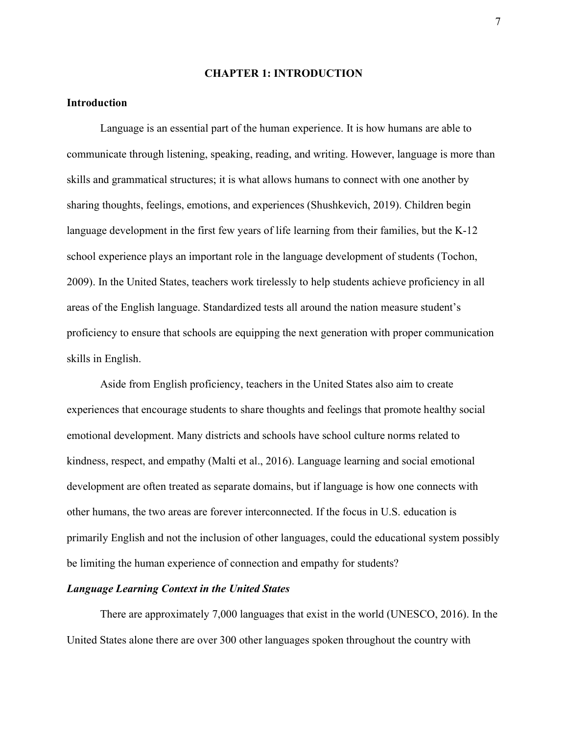#### CHAPTER 1: INTRODUCTION

#### Introduction

 Language is an essential part of the human experience. It is how humans are able to communicate through listening, speaking, reading, and writing. However, language is more than skills and grammatical structures; it is what allows humans to connect with one another by sharing thoughts, feelings, emotions, and experiences (Shushkevich, 2019). Children begin language development in the first few years of life learning from their families, but the K-12 school experience plays an important role in the language development of students (Tochon, 2009). In the United States, teachers work tirelessly to help students achieve proficiency in all areas of the English language. Standardized tests all around the nation measure student's proficiency to ensure that schools are equipping the next generation with proper communication skills in English.

Aside from English proficiency, teachers in the United States also aim to create experiences that encourage students to share thoughts and feelings that promote healthy social emotional development. Many districts and schools have school culture norms related to kindness, respect, and empathy (Malti et al., 2016). Language learning and social emotional development are often treated as separate domains, but if language is how one connects with other humans, the two areas are forever interconnected. If the focus in U.S. education is primarily English and not the inclusion of other languages, could the educational system possibly be limiting the human experience of connection and empathy for students?

#### Language Learning Context in the United States

There are approximately 7,000 languages that exist in the world (UNESCO, 2016). In the United States alone there are over 300 other languages spoken throughout the country with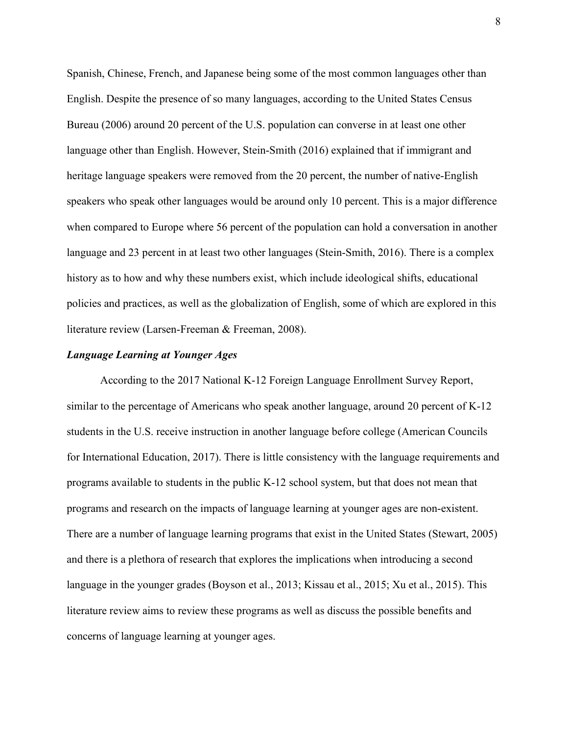Spanish, Chinese, French, and Japanese being some of the most common languages other than English. Despite the presence of so many languages, according to the United States Census Bureau (2006) around 20 percent of the U.S. population can converse in at least one other language other than English. However, Stein-Smith (2016) explained that if immigrant and heritage language speakers were removed from the 20 percent, the number of native-English speakers who speak other languages would be around only 10 percent. This is a major difference when compared to Europe where 56 percent of the population can hold a conversation in another language and 23 percent in at least two other languages (Stein-Smith, 2016). There is a complex history as to how and why these numbers exist, which include ideological shifts, educational policies and practices, as well as the globalization of English, some of which are explored in this literature review (Larsen-Freeman & Freeman, 2008).

#### Language Learning at Younger Ages

 According to the 2017 National K-12 Foreign Language Enrollment Survey Report, similar to the percentage of Americans who speak another language, around 20 percent of K-12 students in the U.S. receive instruction in another language before college (American Councils for International Education, 2017). There is little consistency with the language requirements and programs available to students in the public K-12 school system, but that does not mean that programs and research on the impacts of language learning at younger ages are non-existent. There are a number of language learning programs that exist in the United States (Stewart, 2005) and there is a plethora of research that explores the implications when introducing a second language in the younger grades (Boyson et al., 2013; Kissau et al., 2015; Xu et al., 2015). This literature review aims to review these programs as well as discuss the possible benefits and concerns of language learning at younger ages.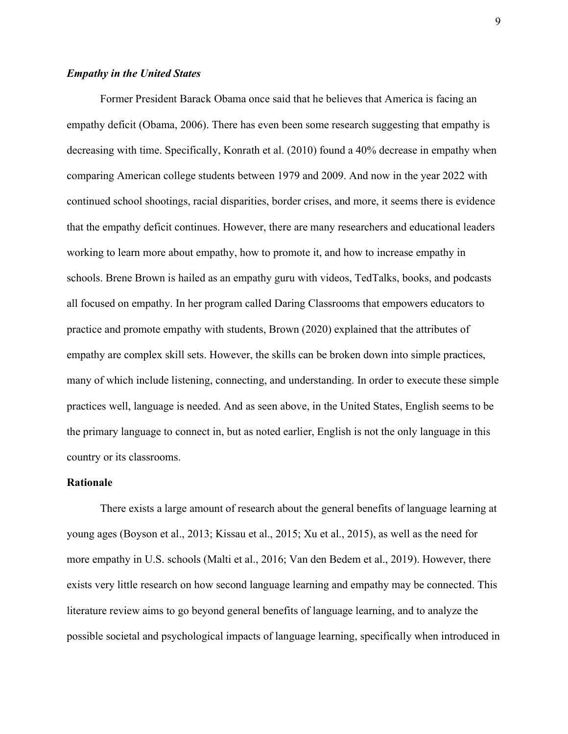#### Empathy in the United States

 Former President Barack Obama once said that he believes that America is facing an empathy deficit (Obama, 2006). There has even been some research suggesting that empathy is decreasing with time. Specifically, Konrath et al. (2010) found a 40% decrease in empathy when comparing American college students between 1979 and 2009. And now in the year 2022 with continued school shootings, racial disparities, border crises, and more, it seems there is evidence that the empathy deficit continues. However, there are many researchers and educational leaders working to learn more about empathy, how to promote it, and how to increase empathy in schools. Brene Brown is hailed as an empathy guru with videos, TedTalks, books, and podcasts all focused on empathy. In her program called Daring Classrooms that empowers educators to practice and promote empathy with students, Brown (2020) explained that the attributes of empathy are complex skill sets. However, the skills can be broken down into simple practices, many of which include listening, connecting, and understanding. In order to execute these simple practices well, language is needed. And as seen above, in the United States, English seems to be the primary language to connect in, but as noted earlier, English is not the only language in this country or its classrooms.

#### Rationale

There exists a large amount of research about the general benefits of language learning at young ages (Boyson et al., 2013; Kissau et al., 2015; Xu et al., 2015), as well as the need for more empathy in U.S. schools (Malti et al., 2016; Van den Bedem et al., 2019). However, there exists very little research on how second language learning and empathy may be connected. This literature review aims to go beyond general benefits of language learning, and to analyze the possible societal and psychological impacts of language learning, specifically when introduced in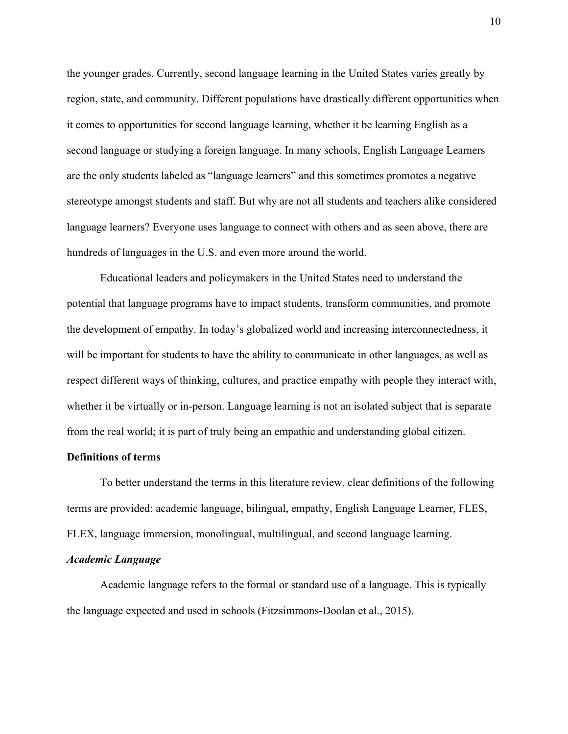the younger grades. Currently, second language learning in the United States varies greatly by region, state, and community. Different populations have drastically different opportunities when it comes to opportunities for second language learning, whether it be learning English as a second language or studying a foreign language. In many schools, English Language Learners are the only students labeled as "language learners" and this sometimes promotes a negative stereotype amongst students and staff. But why are not all students and teachers alike considered language learners? Everyone uses language to connect with others and as seen above, there are hundreds of languages in the U.S. and even more around the world.

Educational leaders and policymakers in the United States need to understand the potential that language programs have to impact students, transform communities, and promote the development of empathy. In today's globalized world and increasing interconnectedness, it will be important for students to have the ability to communicate in other languages, as well as respect different ways of thinking, cultures, and practice empathy with people they interact with, whether it be virtually or in-person. Language learning is not an isolated subject that is separate from the real world; it is part of truly being an empathic and understanding global citizen.

#### Definitions of terms

 To better understand the terms in this literature review, clear definitions of the following terms are provided: academic language, bilingual, empathy, English Language Learner, FLES, FLEX, language immersion, monolingual, multilingual, and second language learning.

#### Academic Language

 Academic language refers to the formal or standard use of a language. This is typically the language expected and used in schools (Fitzsimmons-Doolan et al., 2015).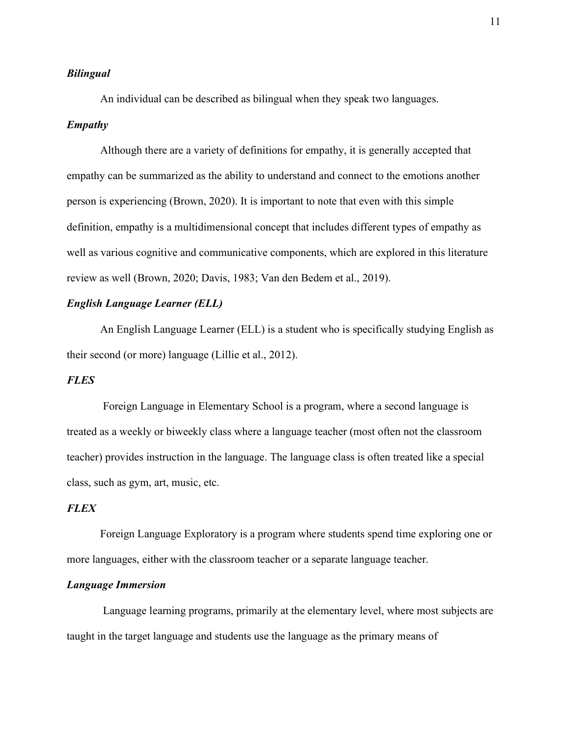#### Bilingual

An individual can be described as bilingual when they speak two languages.

#### Empathy

Although there are a variety of definitions for empathy, it is generally accepted that empathy can be summarized as the ability to understand and connect to the emotions another person is experiencing (Brown, 2020). It is important to note that even with this simple definition, empathy is a multidimensional concept that includes different types of empathy as well as various cognitive and communicative components, which are explored in this literature review as well (Brown, 2020; Davis, 1983; Van den Bedem et al., 2019).

### English Language Learner (ELL)

An English Language Learner (ELL) is a student who is specifically studying English as their second (or more) language (Lillie et al., 2012).

#### **FLES**

 Foreign Language in Elementary School is a program, where a second language is treated as a weekly or biweekly class where a language teacher (most often not the classroom teacher) provides instruction in the language. The language class is often treated like a special class, such as gym, art, music, etc.

#### **FLEX**

 Foreign Language Exploratory is a program where students spend time exploring one or more languages, either with the classroom teacher or a separate language teacher.

#### Language Immersion

 Language learning programs, primarily at the elementary level, where most subjects are taught in the target language and students use the language as the primary means of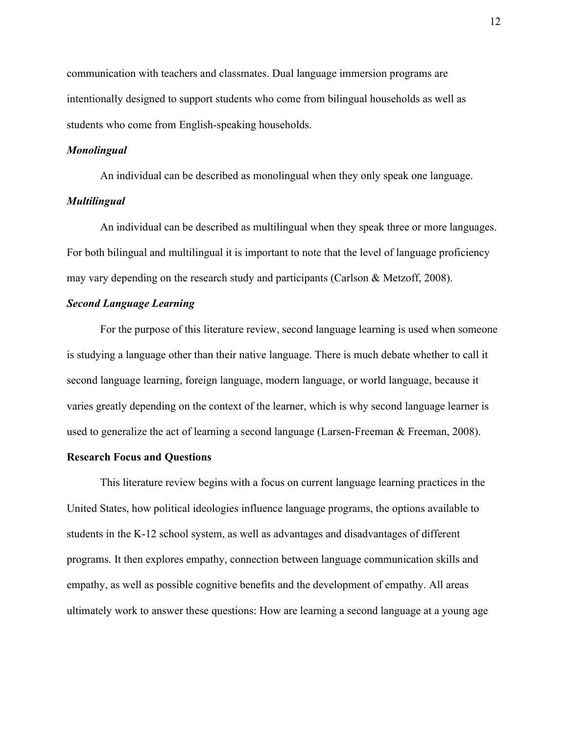communication with teachers and classmates. Dual language immersion programs are intentionally designed to support students who come from bilingual households as well as students who come from English-speaking households.

#### Monolingual

An individual can be described as monolingual when they only speak one language. Multilingual

An individual can be described as multilingual when they speak three or more languages. For both bilingual and multilingual it is important to note that the level of language proficiency may vary depending on the research study and participants (Carlson & Metzoff, 2008).

#### Second Language Learning

For the purpose of this literature review, second language learning is used when someone is studying a language other than their native language. There is much debate whether to call it second language learning, foreign language, modern language, or world language, because it varies greatly depending on the context of the learner, which is why second language learner is used to generalize the act of learning a second language (Larsen-Freeman & Freeman, 2008).

#### Research Focus and Questions

 This literature review begins with a focus on current language learning practices in the United States, how political ideologies influence language programs, the options available to students in the K-12 school system, as well as advantages and disadvantages of different programs. It then explores empathy, connection between language communication skills and empathy, as well as possible cognitive benefits and the development of empathy. All areas ultimately work to answer these questions: How are learning a second language at a young age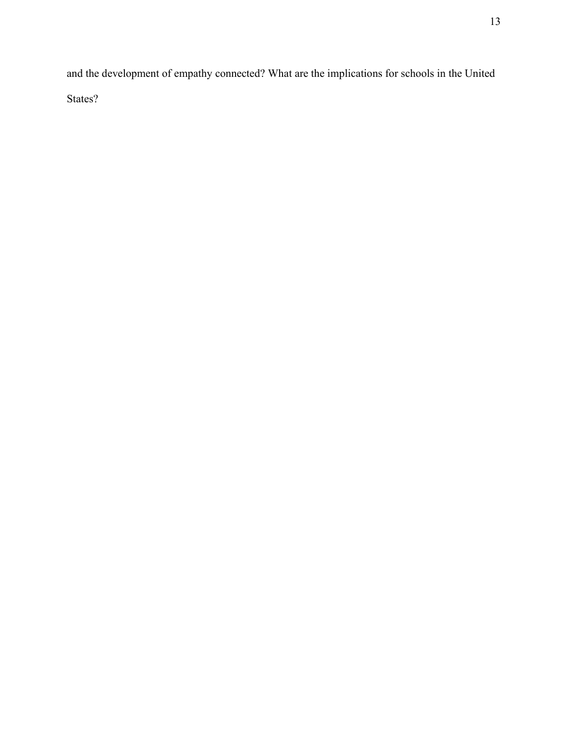and the development of empathy connected? What are the implications for schools in the United States?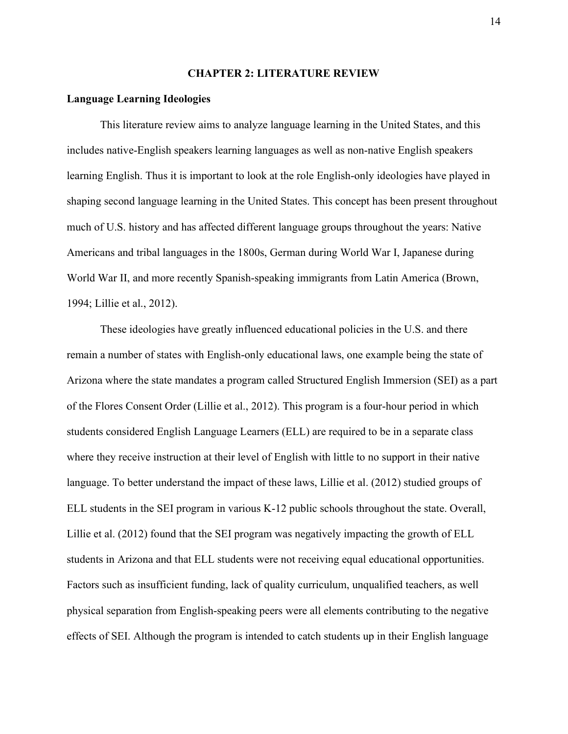#### CHAPTER 2: LITERATURE REVIEW

#### Language Learning Ideologies

This literature review aims to analyze language learning in the United States, and this includes native-English speakers learning languages as well as non-native English speakers learning English. Thus it is important to look at the role English-only ideologies have played in shaping second language learning in the United States. This concept has been present throughout much of U.S. history and has affected different language groups throughout the years: Native Americans and tribal languages in the 1800s, German during World War I, Japanese during World War II, and more recently Spanish-speaking immigrants from Latin America (Brown, 1994; Lillie et al., 2012).

These ideologies have greatly influenced educational policies in the U.S. and there remain a number of states with English-only educational laws, one example being the state of Arizona where the state mandates a program called Structured English Immersion (SEI) as a part of the Flores Consent Order (Lillie et al., 2012). This program is a four-hour period in which students considered English Language Learners (ELL) are required to be in a separate class where they receive instruction at their level of English with little to no support in their native language. To better understand the impact of these laws, Lillie et al. (2012) studied groups of ELL students in the SEI program in various K-12 public schools throughout the state. Overall, Lillie et al. (2012) found that the SEI program was negatively impacting the growth of ELL students in Arizona and that ELL students were not receiving equal educational opportunities. Factors such as insufficient funding, lack of quality curriculum, unqualified teachers, as well physical separation from English-speaking peers were all elements contributing to the negative effects of SEI. Although the program is intended to catch students up in their English language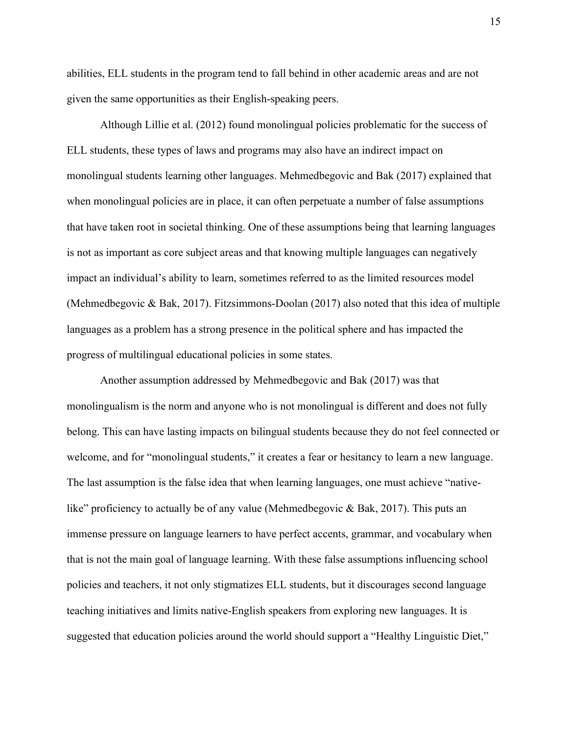abilities, ELL students in the program tend to fall behind in other academic areas and are not given the same opportunities as their English-speaking peers.

Although Lillie et al. (2012) found monolingual policies problematic for the success of ELL students, these types of laws and programs may also have an indirect impact on monolingual students learning other languages. Mehmedbegovic and Bak (2017) explained that when monolingual policies are in place, it can often perpetuate a number of false assumptions that have taken root in societal thinking. One of these assumptions being that learning languages is not as important as core subject areas and that knowing multiple languages can negatively impact an individual's ability to learn, sometimes referred to as the limited resources model (Mehmedbegovic & Bak, 2017). Fitzsimmons-Doolan (2017) also noted that this idea of multiple languages as a problem has a strong presence in the political sphere and has impacted the progress of multilingual educational policies in some states.

Another assumption addressed by Mehmedbegovic and Bak (2017) was that monolingualism is the norm and anyone who is not monolingual is different and does not fully belong. This can have lasting impacts on bilingual students because they do not feel connected or welcome, and for "monolingual students," it creates a fear or hesitancy to learn a new language. The last assumption is the false idea that when learning languages, one must achieve "nativelike" proficiency to actually be of any value (Mehmedbegovic & Bak, 2017). This puts an immense pressure on language learners to have perfect accents, grammar, and vocabulary when that is not the main goal of language learning. With these false assumptions influencing school policies and teachers, it not only stigmatizes ELL students, but it discourages second language teaching initiatives and limits native-English speakers from exploring new languages. It is suggested that education policies around the world should support a "Healthy Linguistic Diet,"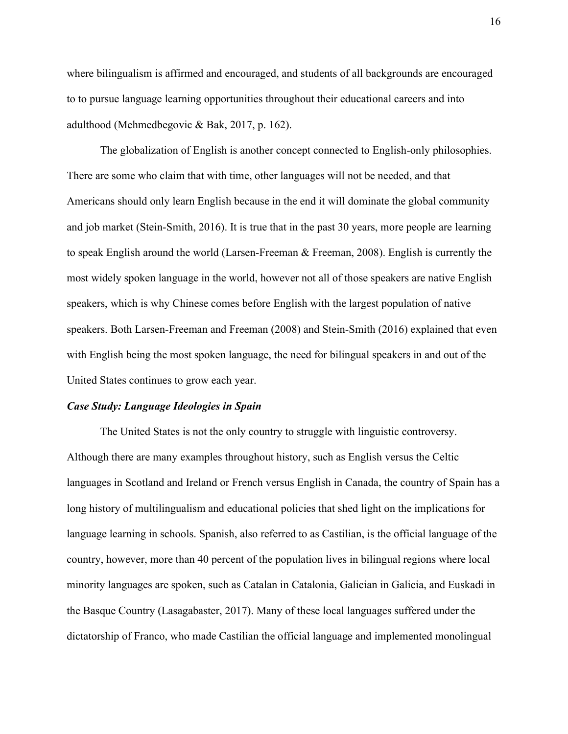where bilingualism is affirmed and encouraged, and students of all backgrounds are encouraged to to pursue language learning opportunities throughout their educational careers and into adulthood (Mehmedbegovic & Bak, 2017, p. 162).

The globalization of English is another concept connected to English-only philosophies. There are some who claim that with time, other languages will not be needed, and that Americans should only learn English because in the end it will dominate the global community and job market (Stein-Smith, 2016). It is true that in the past 30 years, more people are learning to speak English around the world (Larsen-Freeman & Freeman, 2008). English is currently the most widely spoken language in the world, however not all of those speakers are native English speakers, which is why Chinese comes before English with the largest population of native speakers. Both Larsen-Freeman and Freeman (2008) and Stein-Smith (2016) explained that even with English being the most spoken language, the need for bilingual speakers in and out of the United States continues to grow each year.

#### Case Study: Language Ideologies in Spain

 The United States is not the only country to struggle with linguistic controversy. Although there are many examples throughout history, such as English versus the Celtic languages in Scotland and Ireland or French versus English in Canada, the country of Spain has a long history of multilingualism and educational policies that shed light on the implications for language learning in schools. Spanish, also referred to as Castilian, is the official language of the country, however, more than 40 percent of the population lives in bilingual regions where local minority languages are spoken, such as Catalan in Catalonia, Galician in Galicia, and Euskadi in the Basque Country (Lasagabaster, 2017). Many of these local languages suffered under the dictatorship of Franco, who made Castilian the official language and implemented monolingual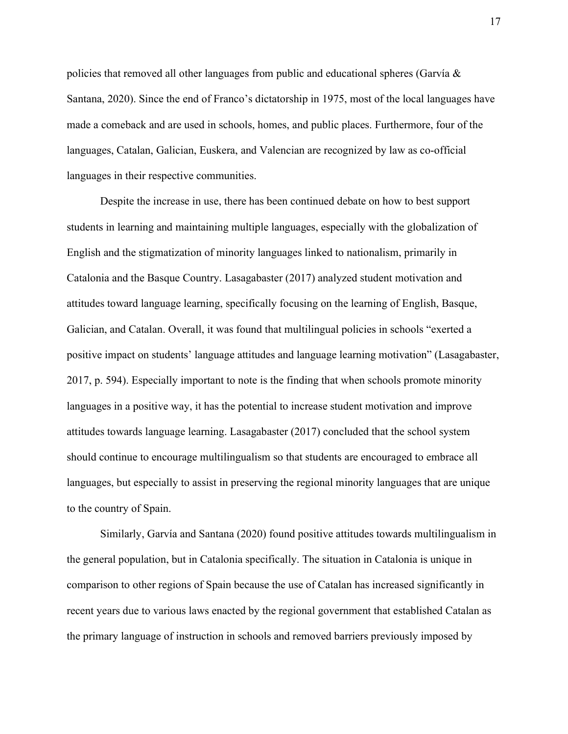policies that removed all other languages from public and educational spheres (Garvía  $\&$ Santana, 2020). Since the end of Franco's dictatorship in 1975, most of the local languages have made a comeback and are used in schools, homes, and public places. Furthermore, four of the languages, Catalan, Galician, Euskera, and Valencian are recognized by law as co-official languages in their respective communities.

Despite the increase in use, there has been continued debate on how to best support students in learning and maintaining multiple languages, especially with the globalization of English and the stigmatization of minority languages linked to nationalism, primarily in Catalonia and the Basque Country. Lasagabaster (2017) analyzed student motivation and attitudes toward language learning, specifically focusing on the learning of English, Basque, Galician, and Catalan. Overall, it was found that multilingual policies in schools "exerted a positive impact on students' language attitudes and language learning motivation" (Lasagabaster, 2017, p. 594). Especially important to note is the finding that when schools promote minority languages in a positive way, it has the potential to increase student motivation and improve attitudes towards language learning. Lasagabaster (2017) concluded that the school system should continue to encourage multilingualism so that students are encouraged to embrace all languages, but especially to assist in preserving the regional minority languages that are unique to the country of Spain.

 Similarly, Garvía and Santana (2020) found positive attitudes towards multilingualism in the general population, but in Catalonia specifically. The situation in Catalonia is unique in comparison to other regions of Spain because the use of Catalan has increased significantly in recent years due to various laws enacted by the regional government that established Catalan as the primary language of instruction in schools and removed barriers previously imposed by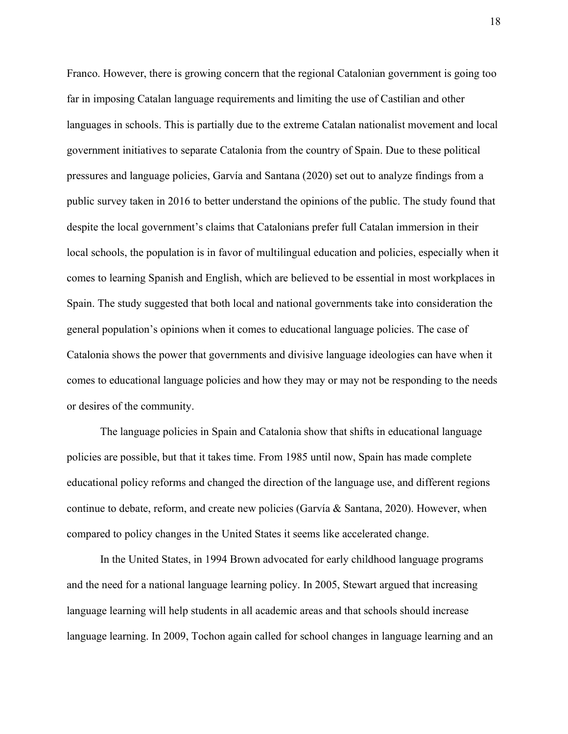Franco. However, there is growing concern that the regional Catalonian government is going too far in imposing Catalan language requirements and limiting the use of Castilian and other languages in schools. This is partially due to the extreme Catalan nationalist movement and local government initiatives to separate Catalonia from the country of Spain. Due to these political pressures and language policies, Garvía and Santana (2020) set out to analyze findings from a public survey taken in 2016 to better understand the opinions of the public. The study found that despite the local government's claims that Catalonians prefer full Catalan immersion in their local schools, the population is in favor of multilingual education and policies, especially when it comes to learning Spanish and English, which are believed to be essential in most workplaces in Spain. The study suggested that both local and national governments take into consideration the general population's opinions when it comes to educational language policies. The case of Catalonia shows the power that governments and divisive language ideologies can have when it comes to educational language policies and how they may or may not be responding to the needs or desires of the community.

 The language policies in Spain and Catalonia show that shifts in educational language policies are possible, but that it takes time. From 1985 until now, Spain has made complete educational policy reforms and changed the direction of the language use, and different regions continue to debate, reform, and create new policies (Garvía & Santana, 2020). However, when compared to policy changes in the United States it seems like accelerated change.

In the United States, in 1994 Brown advocated for early childhood language programs and the need for a national language learning policy. In 2005, Stewart argued that increasing language learning will help students in all academic areas and that schools should increase language learning. In 2009, Tochon again called for school changes in language learning and an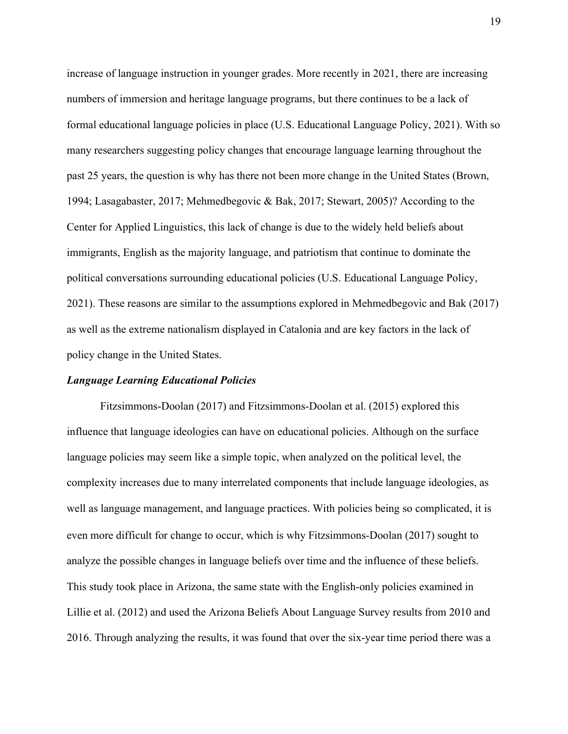increase of language instruction in younger grades. More recently in 2021, there are increasing numbers of immersion and heritage language programs, but there continues to be a lack of formal educational language policies in place (U.S. Educational Language Policy, 2021). With so many researchers suggesting policy changes that encourage language learning throughout the past 25 years, the question is why has there not been more change in the United States (Brown, 1994; Lasagabaster, 2017; Mehmedbegovic & Bak, 2017; Stewart, 2005)? According to the Center for Applied Linguistics, this lack of change is due to the widely held beliefs about immigrants, English as the majority language, and patriotism that continue to dominate the political conversations surrounding educational policies (U.S. Educational Language Policy, 2021). These reasons are similar to the assumptions explored in Mehmedbegovic and Bak (2017) as well as the extreme nationalism displayed in Catalonia and are key factors in the lack of policy change in the United States.

#### Language Learning Educational Policies

Fitzsimmons-Doolan (2017) and Fitzsimmons-Doolan et al. (2015) explored this influence that language ideologies can have on educational policies. Although on the surface language policies may seem like a simple topic, when analyzed on the political level, the complexity increases due to many interrelated components that include language ideologies, as well as language management, and language practices. With policies being so complicated, it is even more difficult for change to occur, which is why Fitzsimmons-Doolan (2017) sought to analyze the possible changes in language beliefs over time and the influence of these beliefs. This study took place in Arizona, the same state with the English-only policies examined in Lillie et al. (2012) and used the Arizona Beliefs About Language Survey results from 2010 and 2016. Through analyzing the results, it was found that over the six-year time period there was a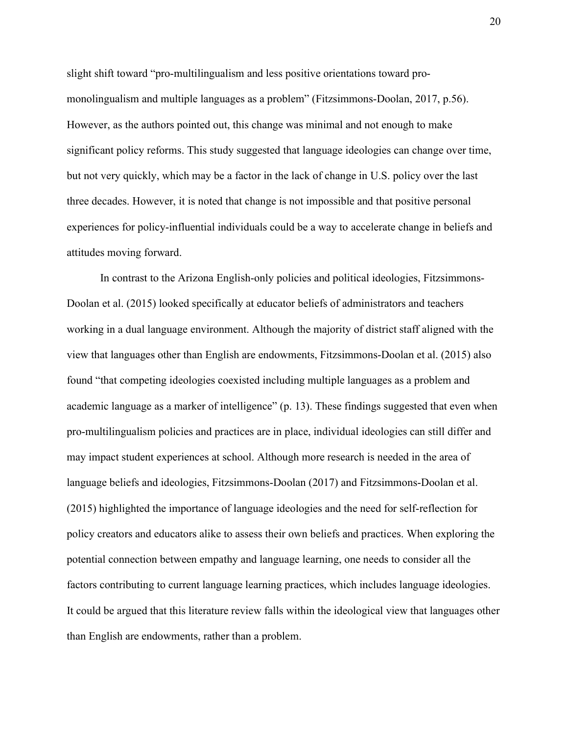slight shift toward "pro-multilingualism and less positive orientations toward promonolingualism and multiple languages as a problem" (Fitzsimmons-Doolan, 2017, p.56). However, as the authors pointed out, this change was minimal and not enough to make significant policy reforms. This study suggested that language ideologies can change over time, but not very quickly, which may be a factor in the lack of change in U.S. policy over the last three decades. However, it is noted that change is not impossible and that positive personal experiences for policy-influential individuals could be a way to accelerate change in beliefs and attitudes moving forward.

In contrast to the Arizona English-only policies and political ideologies, Fitzsimmons-Doolan et al. (2015) looked specifically at educator beliefs of administrators and teachers working in a dual language environment. Although the majority of district staff aligned with the view that languages other than English are endowments, Fitzsimmons-Doolan et al. (2015) also found "that competing ideologies coexisted including multiple languages as a problem and academic language as a marker of intelligence" (p. 13). These findings suggested that even when pro-multilingualism policies and practices are in place, individual ideologies can still differ and may impact student experiences at school. Although more research is needed in the area of language beliefs and ideologies, Fitzsimmons-Doolan (2017) and Fitzsimmons-Doolan et al. (2015) highlighted the importance of language ideologies and the need for self-reflection for policy creators and educators alike to assess their own beliefs and practices. When exploring the potential connection between empathy and language learning, one needs to consider all the factors contributing to current language learning practices, which includes language ideologies. It could be argued that this literature review falls within the ideological view that languages other than English are endowments, rather than a problem.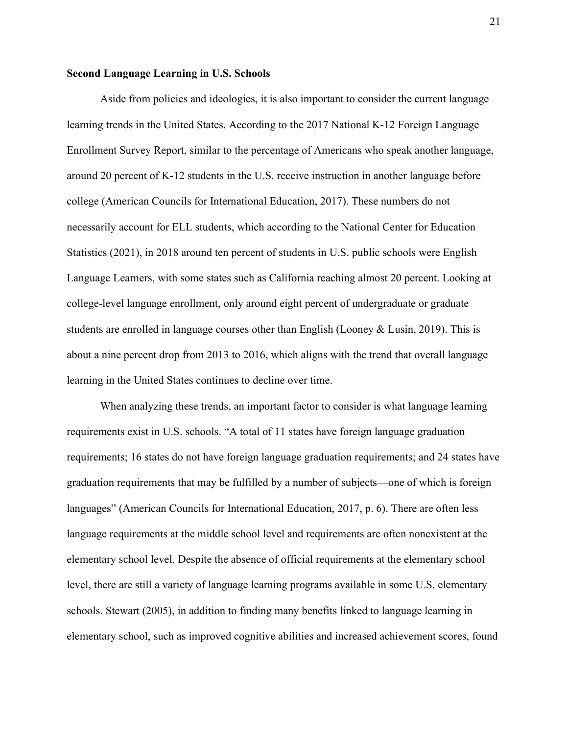#### Second Language Learning in U.S. Schools

Aside from policies and ideologies, it is also important to consider the current language learning trends in the United States. According to the 2017 National K-12 Foreign Language Enrollment Survey Report, similar to the percentage of Americans who speak another language, around 20 percent of K-12 students in the U.S. receive instruction in another language before college (American Councils for International Education, 2017). These numbers do not necessarily account for ELL students, which according to the National Center for Education Statistics (2021), in 2018 around ten percent of students in U.S. public schools were English Language Learners, with some states such as California reaching almost 20 percent. Looking at college-level language enrollment, only around eight percent of undergraduate or graduate students are enrolled in language courses other than English (Looney & Lusin, 2019). This is about a nine percent drop from 2013 to 2016, which aligns with the trend that overall language learning in the United States continues to decline over time.

When analyzing these trends, an important factor to consider is what language learning requirements exist in U.S. schools. "A total of 11 states have foreign language graduation requirements; 16 states do not have foreign language graduation requirements; and 24 states have graduation requirements that may be fulfilled by a number of subjects—one of which is foreign languages" (American Councils for International Education, 2017, p. 6). There are often less language requirements at the middle school level and requirements are often nonexistent at the elementary school level. Despite the absence of official requirements at the elementary school level, there are still a variety of language learning programs available in some U.S. elementary schools. Stewart (2005), in addition to finding many benefits linked to language learning in elementary school, such as improved cognitive abilities and increased achievement scores, found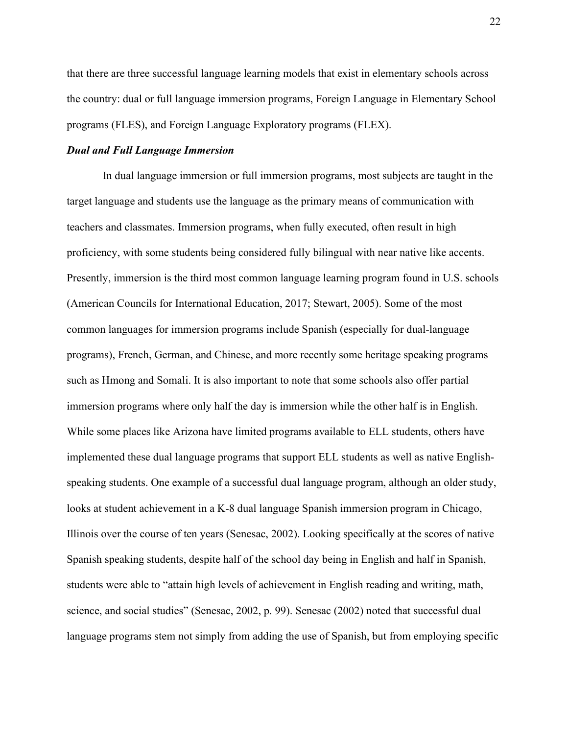that there are three successful language learning models that exist in elementary schools across the country: dual or full language immersion programs, Foreign Language in Elementary School programs (FLES), and Foreign Language Exploratory programs (FLEX).

#### Dual and Full Language Immersion

 In dual language immersion or full immersion programs, most subjects are taught in the target language and students use the language as the primary means of communication with teachers and classmates. Immersion programs, when fully executed, often result in high proficiency, with some students being considered fully bilingual with near native like accents. Presently, immersion is the third most common language learning program found in U.S. schools (American Councils for International Education, 2017; Stewart, 2005). Some of the most common languages for immersion programs include Spanish (especially for dual-language programs), French, German, and Chinese, and more recently some heritage speaking programs such as Hmong and Somali. It is also important to note that some schools also offer partial immersion programs where only half the day is immersion while the other half is in English. While some places like Arizona have limited programs available to ELL students, others have implemented these dual language programs that support ELL students as well as native Englishspeaking students. One example of a successful dual language program, although an older study, looks at student achievement in a K-8 dual language Spanish immersion program in Chicago, Illinois over the course of ten years (Senesac, 2002). Looking specifically at the scores of native Spanish speaking students, despite half of the school day being in English and half in Spanish, students were able to "attain high levels of achievement in English reading and writing, math, science, and social studies" (Senesac, 2002, p. 99). Senesac (2002) noted that successful dual language programs stem not simply from adding the use of Spanish, but from employing specific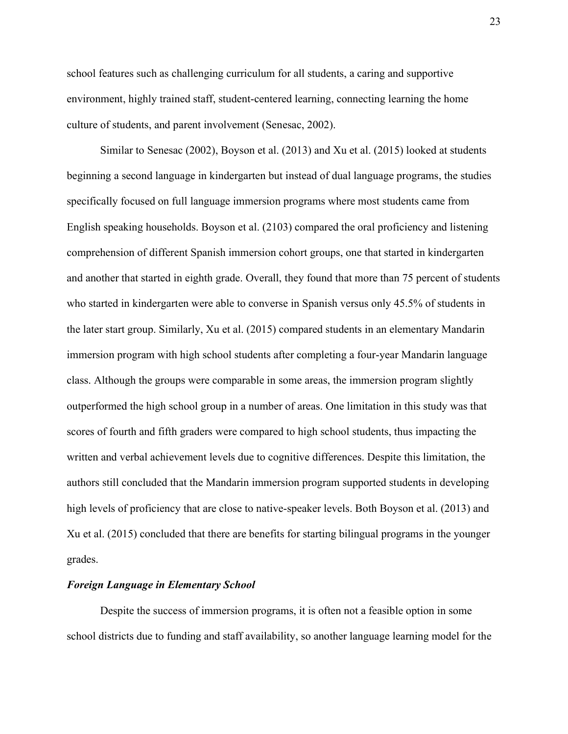school features such as challenging curriculum for all students, a caring and supportive environment, highly trained staff, student-centered learning, connecting learning the home culture of students, and parent involvement (Senesac, 2002).

 Similar to Senesac (2002), Boyson et al. (2013) and Xu et al. (2015) looked at students beginning a second language in kindergarten but instead of dual language programs, the studies specifically focused on full language immersion programs where most students came from English speaking households. Boyson et al. (2103) compared the oral proficiency and listening comprehension of different Spanish immersion cohort groups, one that started in kindergarten and another that started in eighth grade. Overall, they found that more than 75 percent of students who started in kindergarten were able to converse in Spanish versus only 45.5% of students in the later start group. Similarly, Xu et al. (2015) compared students in an elementary Mandarin immersion program with high school students after completing a four-year Mandarin language class. Although the groups were comparable in some areas, the immersion program slightly outperformed the high school group in a number of areas. One limitation in this study was that scores of fourth and fifth graders were compared to high school students, thus impacting the written and verbal achievement levels due to cognitive differences. Despite this limitation, the authors still concluded that the Mandarin immersion program supported students in developing high levels of proficiency that are close to native-speaker levels. Both Boyson et al. (2013) and Xu et al. (2015) concluded that there are benefits for starting bilingual programs in the younger grades.

#### Foreign Language in Elementary School

Despite the success of immersion programs, it is often not a feasible option in some school districts due to funding and staff availability, so another language learning model for the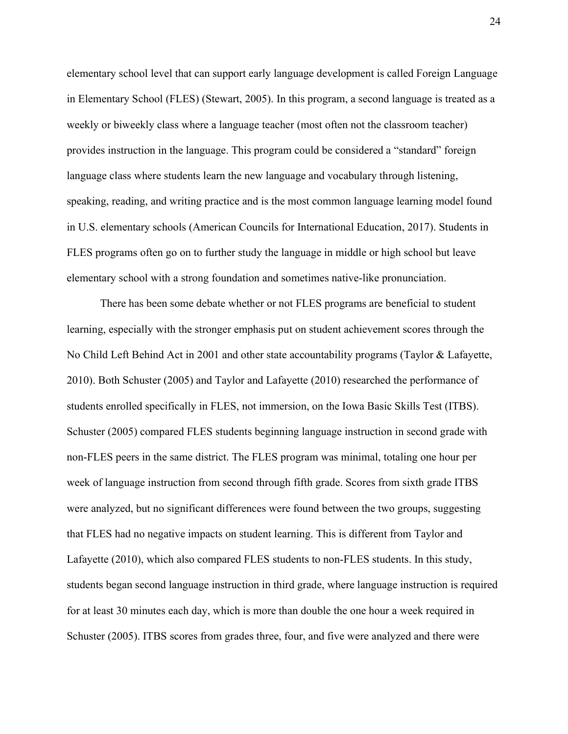elementary school level that can support early language development is called Foreign Language in Elementary School (FLES) (Stewart, 2005). In this program, a second language is treated as a weekly or biweekly class where a language teacher (most often not the classroom teacher) provides instruction in the language. This program could be considered a "standard" foreign language class where students learn the new language and vocabulary through listening, speaking, reading, and writing practice and is the most common language learning model found in U.S. elementary schools (American Councils for International Education, 2017). Students in FLES programs often go on to further study the language in middle or high school but leave elementary school with a strong foundation and sometimes native-like pronunciation.

There has been some debate whether or not FLES programs are beneficial to student learning, especially with the stronger emphasis put on student achievement scores through the No Child Left Behind Act in 2001 and other state accountability programs (Taylor & Lafayette, 2010). Both Schuster (2005) and Taylor and Lafayette (2010) researched the performance of students enrolled specifically in FLES, not immersion, on the Iowa Basic Skills Test (ITBS). Schuster (2005) compared FLES students beginning language instruction in second grade with non-FLES peers in the same district. The FLES program was minimal, totaling one hour per week of language instruction from second through fifth grade. Scores from sixth grade ITBS were analyzed, but no significant differences were found between the two groups, suggesting that FLES had no negative impacts on student learning. This is different from Taylor and Lafayette (2010), which also compared FLES students to non-FLES students. In this study, students began second language instruction in third grade, where language instruction is required for at least 30 minutes each day, which is more than double the one hour a week required in Schuster (2005). ITBS scores from grades three, four, and five were analyzed and there were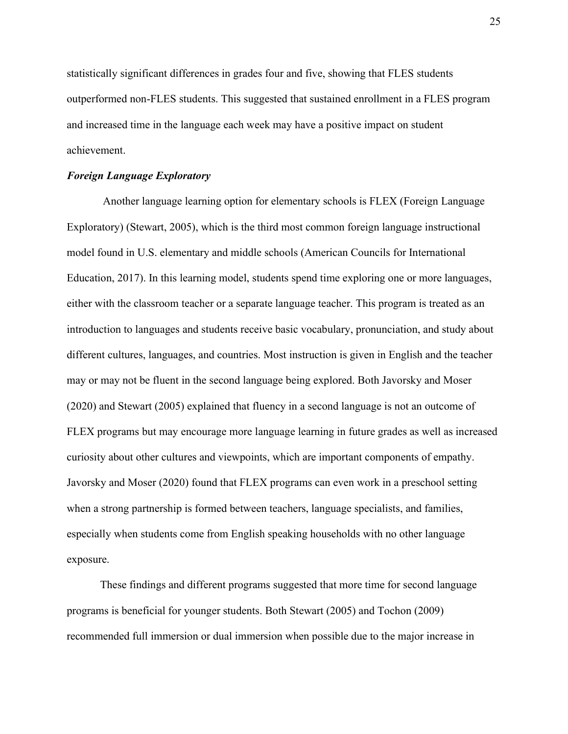statistically significant differences in grades four and five, showing that FLES students outperformed non-FLES students. This suggested that sustained enrollment in a FLES program and increased time in the language each week may have a positive impact on student achievement.

#### Foreign Language Exploratory

 Another language learning option for elementary schools is FLEX (Foreign Language Exploratory) (Stewart, 2005), which is the third most common foreign language instructional model found in U.S. elementary and middle schools (American Councils for International Education, 2017). In this learning model, students spend time exploring one or more languages, either with the classroom teacher or a separate language teacher. This program is treated as an introduction to languages and students receive basic vocabulary, pronunciation, and study about different cultures, languages, and countries. Most instruction is given in English and the teacher may or may not be fluent in the second language being explored. Both Javorsky and Moser (2020) and Stewart (2005) explained that fluency in a second language is not an outcome of FLEX programs but may encourage more language learning in future grades as well as increased curiosity about other cultures and viewpoints, which are important components of empathy. Javorsky and Moser (2020) found that FLEX programs can even work in a preschool setting when a strong partnership is formed between teachers, language specialists, and families, especially when students come from English speaking households with no other language exposure.

These findings and different programs suggested that more time for second language programs is beneficial for younger students. Both Stewart (2005) and Tochon (2009) recommended full immersion or dual immersion when possible due to the major increase in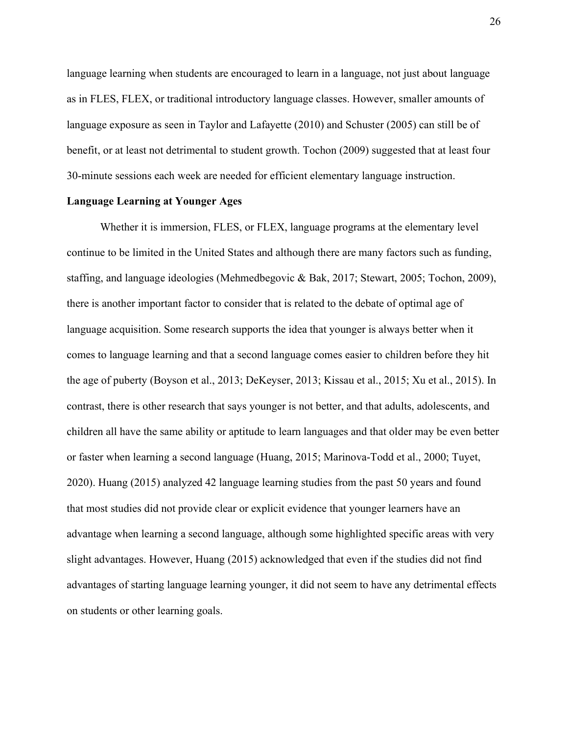language learning when students are encouraged to learn in a language, not just about language as in FLES, FLEX, or traditional introductory language classes. However, smaller amounts of language exposure as seen in Taylor and Lafayette (2010) and Schuster (2005) can still be of benefit, or at least not detrimental to student growth. Tochon (2009) suggested that at least four 30-minute sessions each week are needed for efficient elementary language instruction.

#### Language Learning at Younger Ages

Whether it is immersion, FLES, or FLEX, language programs at the elementary level continue to be limited in the United States and although there are many factors such as funding, staffing, and language ideologies (Mehmedbegovic & Bak, 2017; Stewart, 2005; Tochon, 2009), there is another important factor to consider that is related to the debate of optimal age of language acquisition. Some research supports the idea that younger is always better when it comes to language learning and that a second language comes easier to children before they hit the age of puberty (Boyson et al., 2013; DeKeyser, 2013; Kissau et al., 2015; Xu et al., 2015). In contrast, there is other research that says younger is not better, and that adults, adolescents, and children all have the same ability or aptitude to learn languages and that older may be even better or faster when learning a second language (Huang, 2015; Marinova-Todd et al., 2000; Tuyet, 2020). Huang (2015) analyzed 42 language learning studies from the past 50 years and found that most studies did not provide clear or explicit evidence that younger learners have an advantage when learning a second language, although some highlighted specific areas with very slight advantages. However, Huang (2015) acknowledged that even if the studies did not find advantages of starting language learning younger, it did not seem to have any detrimental effects on students or other learning goals.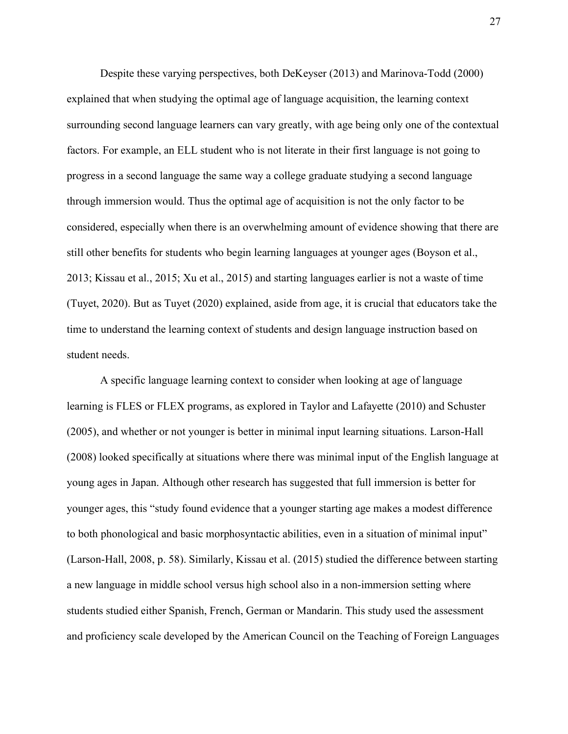Despite these varying perspectives, both DeKeyser (2013) and Marinova-Todd (2000) explained that when studying the optimal age of language acquisition, the learning context surrounding second language learners can vary greatly, with age being only one of the contextual factors. For example, an ELL student who is not literate in their first language is not going to progress in a second language the same way a college graduate studying a second language through immersion would. Thus the optimal age of acquisition is not the only factor to be considered, especially when there is an overwhelming amount of evidence showing that there are still other benefits for students who begin learning languages at younger ages (Boyson et al., 2013; Kissau et al., 2015; Xu et al., 2015) and starting languages earlier is not a waste of time (Tuyet, 2020). But as Tuyet (2020) explained, aside from age, it is crucial that educators take the time to understand the learning context of students and design language instruction based on student needs.

 A specific language learning context to consider when looking at age of language learning is FLES or FLEX programs, as explored in Taylor and Lafayette (2010) and Schuster (2005), and whether or not younger is better in minimal input learning situations. Larson-Hall (2008) looked specifically at situations where there was minimal input of the English language at young ages in Japan. Although other research has suggested that full immersion is better for younger ages, this "study found evidence that a younger starting age makes a modest difference to both phonological and basic morphosyntactic abilities, even in a situation of minimal input" (Larson-Hall, 2008, p. 58). Similarly, Kissau et al. (2015) studied the difference between starting a new language in middle school versus high school also in a non-immersion setting where students studied either Spanish, French, German or Mandarin. This study used the assessment and proficiency scale developed by the American Council on the Teaching of Foreign Languages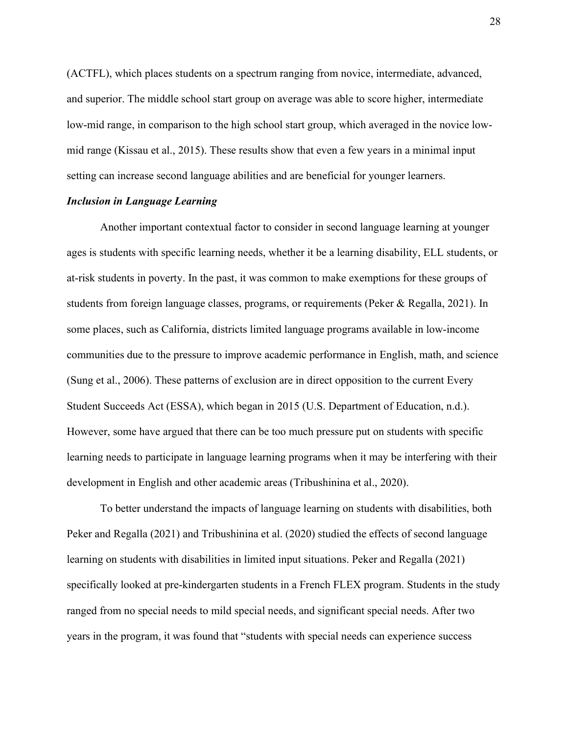(ACTFL), which places students on a spectrum ranging from novice, intermediate, advanced, and superior. The middle school start group on average was able to score higher, intermediate low-mid range, in comparison to the high school start group, which averaged in the novice lowmid range (Kissau et al., 2015). These results show that even a few years in a minimal input setting can increase second language abilities and are beneficial for younger learners.

#### Inclusion in Language Learning

 Another important contextual factor to consider in second language learning at younger ages is students with specific learning needs, whether it be a learning disability, ELL students, or at-risk students in poverty. In the past, it was common to make exemptions for these groups of students from foreign language classes, programs, or requirements (Peker & Regalla, 2021). In some places, such as California, districts limited language programs available in low-income communities due to the pressure to improve academic performance in English, math, and science (Sung et al., 2006). These patterns of exclusion are in direct opposition to the current Every Student Succeeds Act (ESSA), which began in 2015 (U.S. Department of Education, n.d.). However, some have argued that there can be too much pressure put on students with specific learning needs to participate in language learning programs when it may be interfering with their development in English and other academic areas (Tribushinina et al., 2020).

 To better understand the impacts of language learning on students with disabilities, both Peker and Regalla (2021) and Tribushinina et al. (2020) studied the effects of second language learning on students with disabilities in limited input situations. Peker and Regalla (2021) specifically looked at pre-kindergarten students in a French FLEX program. Students in the study ranged from no special needs to mild special needs, and significant special needs. After two years in the program, it was found that "students with special needs can experience success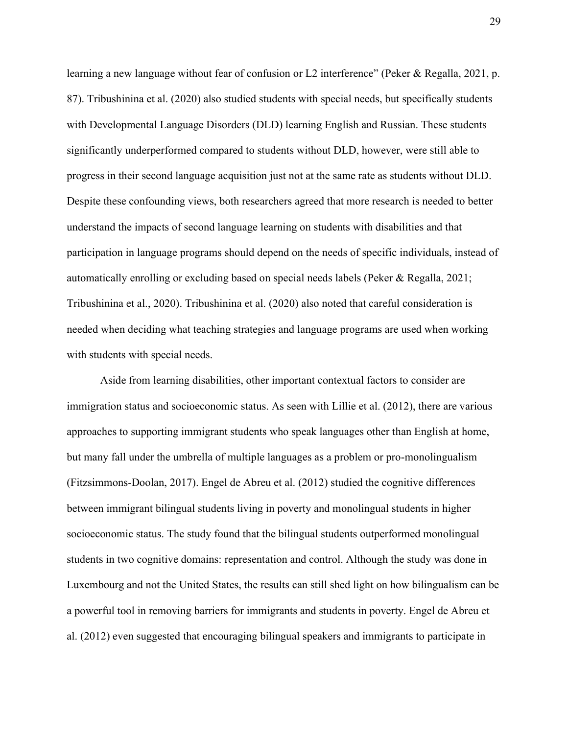learning a new language without fear of confusion or L2 interference" (Peker & Regalla, 2021, p. 87). Tribushinina et al. (2020) also studied students with special needs, but specifically students with Developmental Language Disorders (DLD) learning English and Russian. These students significantly underperformed compared to students without DLD, however, were still able to progress in their second language acquisition just not at the same rate as students without DLD. Despite these confounding views, both researchers agreed that more research is needed to better understand the impacts of second language learning on students with disabilities and that participation in language programs should depend on the needs of specific individuals, instead of automatically enrolling or excluding based on special needs labels (Peker & Regalla, 2021; Tribushinina et al., 2020). Tribushinina et al. (2020) also noted that careful consideration is needed when deciding what teaching strategies and language programs are used when working with students with special needs.

 Aside from learning disabilities, other important contextual factors to consider are immigration status and socioeconomic status. As seen with Lillie et al. (2012), there are various approaches to supporting immigrant students who speak languages other than English at home, but many fall under the umbrella of multiple languages as a problem or pro-monolingualism (Fitzsimmons-Doolan, 2017). Engel de Abreu et al. (2012) studied the cognitive differences between immigrant bilingual students living in poverty and monolingual students in higher socioeconomic status. The study found that the bilingual students outperformed monolingual students in two cognitive domains: representation and control. Although the study was done in Luxembourg and not the United States, the results can still shed light on how bilingualism can be a powerful tool in removing barriers for immigrants and students in poverty. Engel de Abreu et al. (2012) even suggested that encouraging bilingual speakers and immigrants to participate in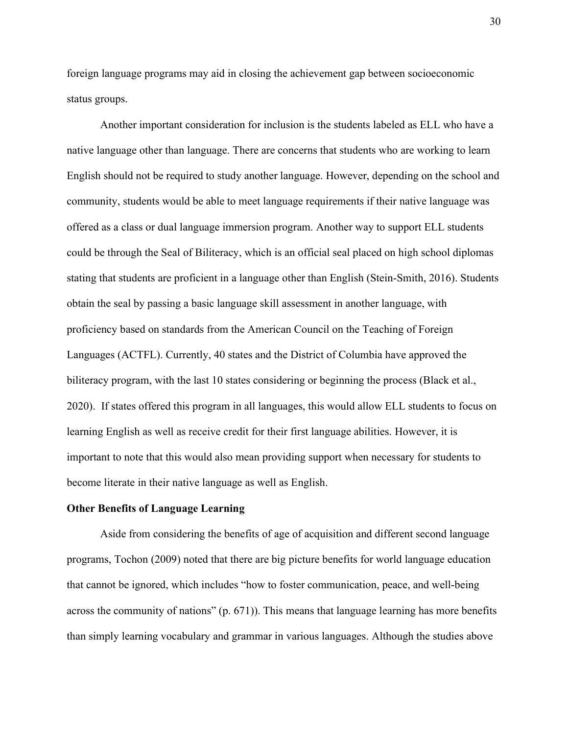foreign language programs may aid in closing the achievement gap between socioeconomic status groups.

 Another important consideration for inclusion is the students labeled as ELL who have a native language other than language. There are concerns that students who are working to learn English should not be required to study another language. However, depending on the school and community, students would be able to meet language requirements if their native language was offered as a class or dual language immersion program. Another way to support ELL students could be through the Seal of Biliteracy, which is an official seal placed on high school diplomas stating that students are proficient in a language other than English (Stein-Smith, 2016). Students obtain the seal by passing a basic language skill assessment in another language, with proficiency based on standards from the American Council on the Teaching of Foreign Languages (ACTFL). Currently, 40 states and the District of Columbia have approved the biliteracy program, with the last 10 states considering or beginning the process (Black et al., 2020). If states offered this program in all languages, this would allow ELL students to focus on learning English as well as receive credit for their first language abilities. However, it is important to note that this would also mean providing support when necessary for students to become literate in their native language as well as English.

#### Other Benefits of Language Learning

 Aside from considering the benefits of age of acquisition and different second language programs, Tochon (2009) noted that there are big picture benefits for world language education that cannot be ignored, which includes "how to foster communication, peace, and well-being across the community of nations" (p. 671)). This means that language learning has more benefits than simply learning vocabulary and grammar in various languages. Although the studies above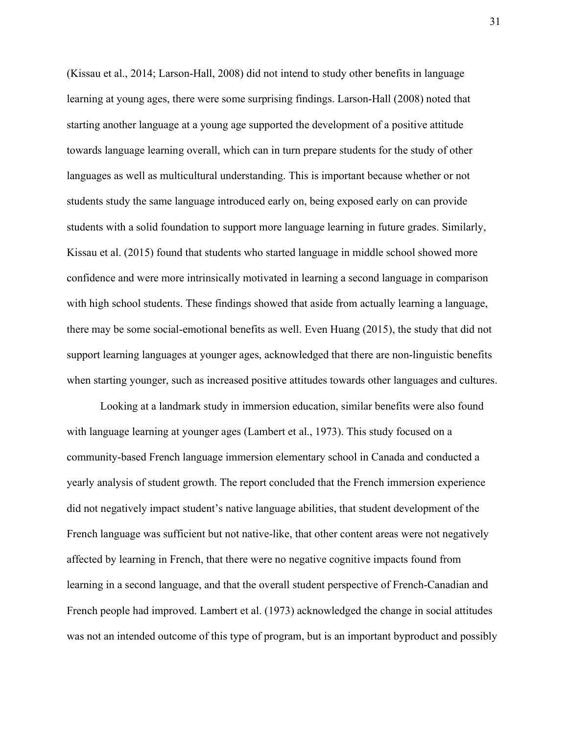(Kissau et al., 2014; Larson-Hall, 2008) did not intend to study other benefits in language learning at young ages, there were some surprising findings. Larson-Hall (2008) noted that starting another language at a young age supported the development of a positive attitude towards language learning overall, which can in turn prepare students for the study of other languages as well as multicultural understanding. This is important because whether or not students study the same language introduced early on, being exposed early on can provide students with a solid foundation to support more language learning in future grades. Similarly, Kissau et al. (2015) found that students who started language in middle school showed more confidence and were more intrinsically motivated in learning a second language in comparison with high school students. These findings showed that aside from actually learning a language, there may be some social-emotional benefits as well. Even Huang (2015), the study that did not support learning languages at younger ages, acknowledged that there are non-linguistic benefits when starting younger, such as increased positive attitudes towards other languages and cultures.

 Looking at a landmark study in immersion education, similar benefits were also found with language learning at younger ages (Lambert et al., 1973). This study focused on a community-based French language immersion elementary school in Canada and conducted a yearly analysis of student growth. The report concluded that the French immersion experience did not negatively impact student's native language abilities, that student development of the French language was sufficient but not native-like, that other content areas were not negatively affected by learning in French, that there were no negative cognitive impacts found from learning in a second language, and that the overall student perspective of French-Canadian and French people had improved. Lambert et al. (1973) acknowledged the change in social attitudes was not an intended outcome of this type of program, but is an important byproduct and possibly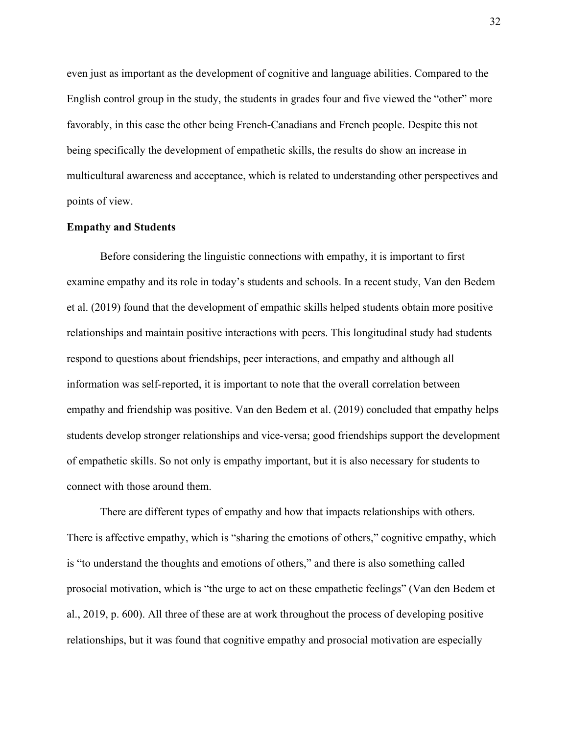even just as important as the development of cognitive and language abilities. Compared to the English control group in the study, the students in grades four and five viewed the "other" more favorably, in this case the other being French-Canadians and French people. Despite this not being specifically the development of empathetic skills, the results do show an increase in multicultural awareness and acceptance, which is related to understanding other perspectives and points of view.

#### Empathy and Students

 Before considering the linguistic connections with empathy, it is important to first examine empathy and its role in today's students and schools. In a recent study, Van den Bedem et al. (2019) found that the development of empathic skills helped students obtain more positive relationships and maintain positive interactions with peers. This longitudinal study had students respond to questions about friendships, peer interactions, and empathy and although all information was self-reported, it is important to note that the overall correlation between empathy and friendship was positive. Van den Bedem et al. (2019) concluded that empathy helps students develop stronger relationships and vice-versa; good friendships support the development of empathetic skills. So not only is empathy important, but it is also necessary for students to connect with those around them.

 There are different types of empathy and how that impacts relationships with others. There is affective empathy, which is "sharing the emotions of others," cognitive empathy, which is "to understand the thoughts and emotions of others," and there is also something called prosocial motivation, which is "the urge to act on these empathetic feelings" (Van den Bedem et al., 2019, p. 600). All three of these are at work throughout the process of developing positive relationships, but it was found that cognitive empathy and prosocial motivation are especially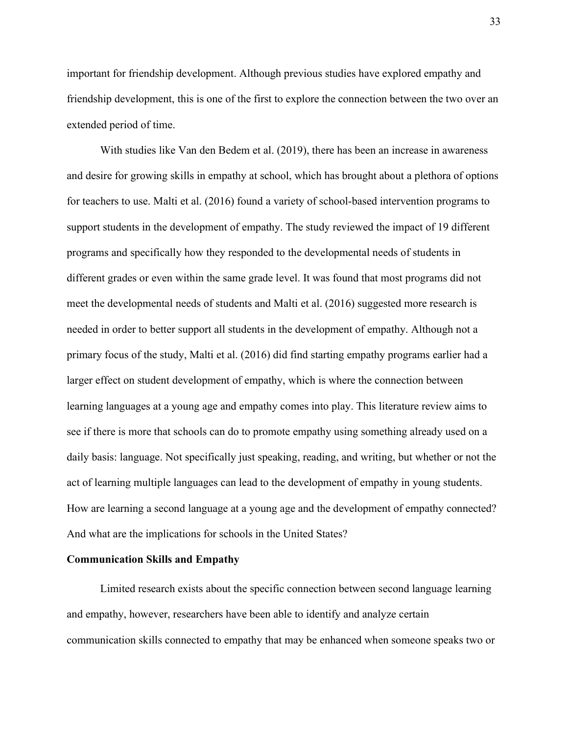important for friendship development. Although previous studies have explored empathy and friendship development, this is one of the first to explore the connection between the two over an extended period of time.

 With studies like Van den Bedem et al. (2019), there has been an increase in awareness and desire for growing skills in empathy at school, which has brought about a plethora of options for teachers to use. Malti et al. (2016) found a variety of school-based intervention programs to support students in the development of empathy. The study reviewed the impact of 19 different programs and specifically how they responded to the developmental needs of students in different grades or even within the same grade level. It was found that most programs did not meet the developmental needs of students and Malti et al. (2016) suggested more research is needed in order to better support all students in the development of empathy. Although not a primary focus of the study, Malti et al. (2016) did find starting empathy programs earlier had a larger effect on student development of empathy, which is where the connection between learning languages at a young age and empathy comes into play. This literature review aims to see if there is more that schools can do to promote empathy using something already used on a daily basis: language. Not specifically just speaking, reading, and writing, but whether or not the act of learning multiple languages can lead to the development of empathy in young students. How are learning a second language at a young age and the development of empathy connected? And what are the implications for schools in the United States?

#### Communication Skills and Empathy

 Limited research exists about the specific connection between second language learning and empathy, however, researchers have been able to identify and analyze certain communication skills connected to empathy that may be enhanced when someone speaks two or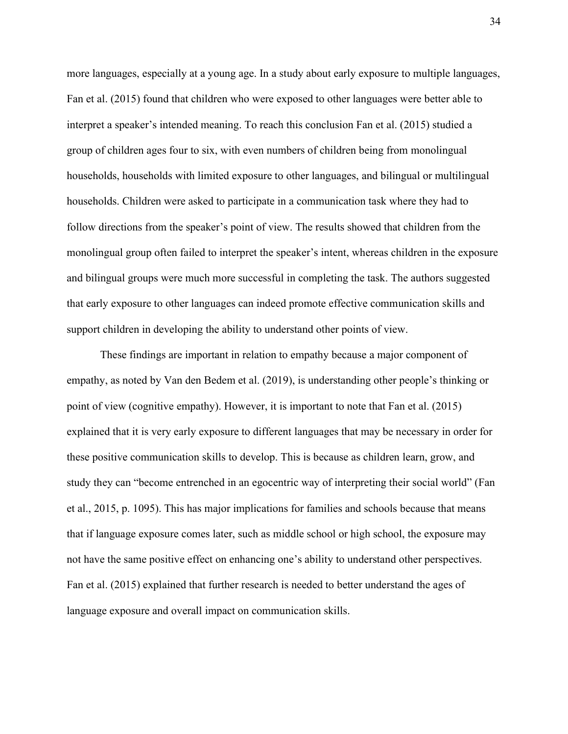more languages, especially at a young age. In a study about early exposure to multiple languages, Fan et al. (2015) found that children who were exposed to other languages were better able to interpret a speaker's intended meaning. To reach this conclusion Fan et al. (2015) studied a group of children ages four to six, with even numbers of children being from monolingual households, households with limited exposure to other languages, and bilingual or multilingual households. Children were asked to participate in a communication task where they had to follow directions from the speaker's point of view. The results showed that children from the monolingual group often failed to interpret the speaker's intent, whereas children in the exposure and bilingual groups were much more successful in completing the task. The authors suggested that early exposure to other languages can indeed promote effective communication skills and support children in developing the ability to understand other points of view.

These findings are important in relation to empathy because a major component of empathy, as noted by Van den Bedem et al. (2019), is understanding other people's thinking or point of view (cognitive empathy). However, it is important to note that Fan et al. (2015) explained that it is very early exposure to different languages that may be necessary in order for these positive communication skills to develop. This is because as children learn, grow, and study they can "become entrenched in an egocentric way of interpreting their social world" (Fan et al., 2015, p. 1095). This has major implications for families and schools because that means that if language exposure comes later, such as middle school or high school, the exposure may not have the same positive effect on enhancing one's ability to understand other perspectives. Fan et al. (2015) explained that further research is needed to better understand the ages of language exposure and overall impact on communication skills.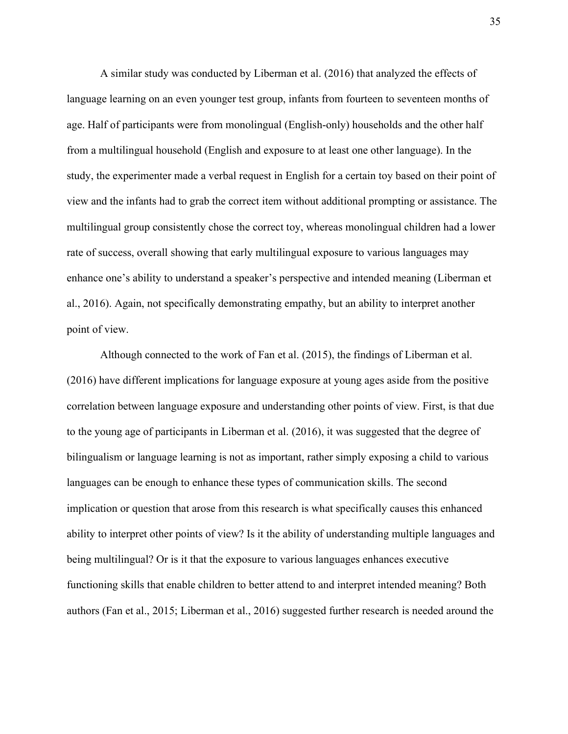A similar study was conducted by Liberman et al. (2016) that analyzed the effects of language learning on an even younger test group, infants from fourteen to seventeen months of age. Half of participants were from monolingual (English-only) households and the other half from a multilingual household (English and exposure to at least one other language). In the study, the experimenter made a verbal request in English for a certain toy based on their point of view and the infants had to grab the correct item without additional prompting or assistance. The multilingual group consistently chose the correct toy, whereas monolingual children had a lower rate of success, overall showing that early multilingual exposure to various languages may enhance one's ability to understand a speaker's perspective and intended meaning (Liberman et al., 2016). Again, not specifically demonstrating empathy, but an ability to interpret another point of view.

 Although connected to the work of Fan et al. (2015), the findings of Liberman et al. (2016) have different implications for language exposure at young ages aside from the positive correlation between language exposure and understanding other points of view. First, is that due to the young age of participants in Liberman et al. (2016), it was suggested that the degree of bilingualism or language learning is not as important, rather simply exposing a child to various languages can be enough to enhance these types of communication skills. The second implication or question that arose from this research is what specifically causes this enhanced ability to interpret other points of view? Is it the ability of understanding multiple languages and being multilingual? Or is it that the exposure to various languages enhances executive functioning skills that enable children to better attend to and interpret intended meaning? Both authors (Fan et al., 2015; Liberman et al., 2016) suggested further research is needed around the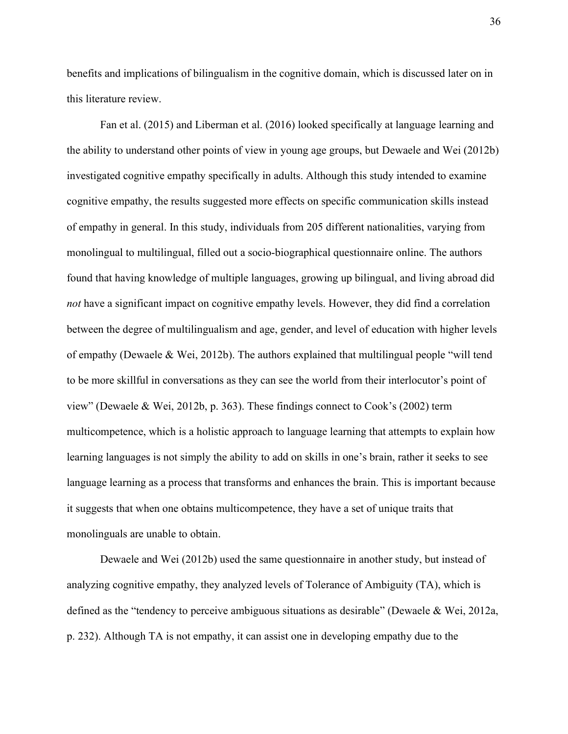benefits and implications of bilingualism in the cognitive domain, which is discussed later on in this literature review.

 Fan et al. (2015) and Liberman et al. (2016) looked specifically at language learning and the ability to understand other points of view in young age groups, but Dewaele and Wei (2012b) investigated cognitive empathy specifically in adults. Although this study intended to examine cognitive empathy, the results suggested more effects on specific communication skills instead of empathy in general. In this study, individuals from 205 different nationalities, varying from monolingual to multilingual, filled out a socio-biographical questionnaire online. The authors found that having knowledge of multiple languages, growing up bilingual, and living abroad did not have a significant impact on cognitive empathy levels. However, they did find a correlation between the degree of multilingualism and age, gender, and level of education with higher levels of empathy (Dewaele & Wei, 2012b). The authors explained that multilingual people "will tend to be more skillful in conversations as they can see the world from their interlocutor's point of view" (Dewaele & Wei, 2012b, p. 363). These findings connect to Cook's (2002) term multicompetence, which is a holistic approach to language learning that attempts to explain how learning languages is not simply the ability to add on skills in one's brain, rather it seeks to see language learning as a process that transforms and enhances the brain. This is important because it suggests that when one obtains multicompetence, they have a set of unique traits that monolinguals are unable to obtain.

Dewaele and Wei (2012b) used the same questionnaire in another study, but instead of analyzing cognitive empathy, they analyzed levels of Tolerance of Ambiguity (TA), which is defined as the "tendency to perceive ambiguous situations as desirable" (Dewaele & Wei, 2012a, p. 232). Although TA is not empathy, it can assist one in developing empathy due to the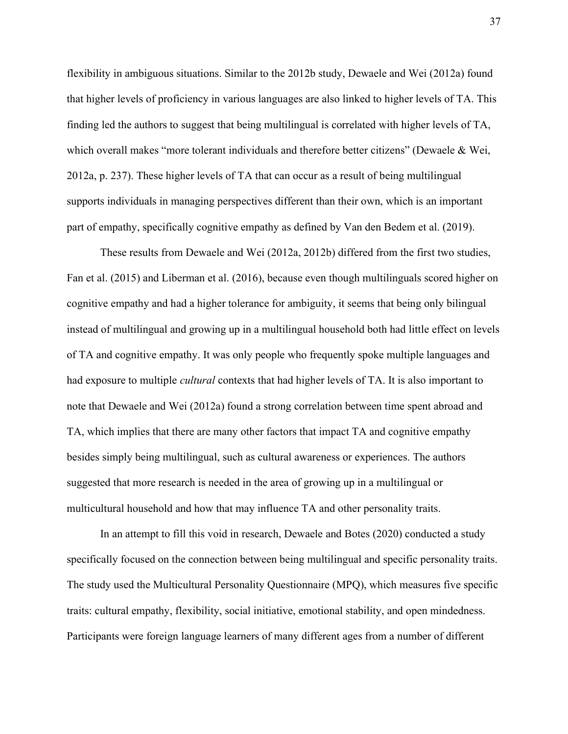flexibility in ambiguous situations. Similar to the 2012b study, Dewaele and Wei (2012a) found that higher levels of proficiency in various languages are also linked to higher levels of TA. This finding led the authors to suggest that being multilingual is correlated with higher levels of TA, which overall makes "more tolerant individuals and therefore better citizens" (Dewaele & Wei, 2012a, p. 237). These higher levels of TA that can occur as a result of being multilingual supports individuals in managing perspectives different than their own, which is an important part of empathy, specifically cognitive empathy as defined by Van den Bedem et al. (2019).

 These results from Dewaele and Wei (2012a, 2012b) differed from the first two studies, Fan et al. (2015) and Liberman et al. (2016), because even though multilinguals scored higher on cognitive empathy and had a higher tolerance for ambiguity, it seems that being only bilingual instead of multilingual and growing up in a multilingual household both had little effect on levels of TA and cognitive empathy. It was only people who frequently spoke multiple languages and had exposure to multiple cultural contexts that had higher levels of TA. It is also important to note that Dewaele and Wei (2012a) found a strong correlation between time spent abroad and TA, which implies that there are many other factors that impact TA and cognitive empathy besides simply being multilingual, such as cultural awareness or experiences. The authors suggested that more research is needed in the area of growing up in a multilingual or multicultural household and how that may influence TA and other personality traits.

 In an attempt to fill this void in research, Dewaele and Botes (2020) conducted a study specifically focused on the connection between being multilingual and specific personality traits. The study used the Multicultural Personality Questionnaire (MPQ), which measures five specific traits: cultural empathy, flexibility, social initiative, emotional stability, and open mindedness. Participants were foreign language learners of many different ages from a number of different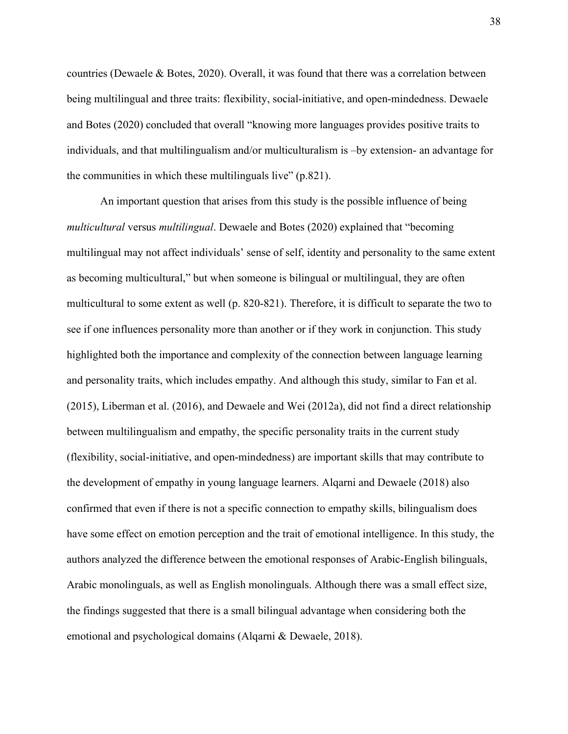countries (Dewaele & Botes, 2020). Overall, it was found that there was a correlation between being multilingual and three traits: flexibility, social-initiative, and open-mindedness. Dewaele and Botes (2020) concluded that overall "knowing more languages provides positive traits to individuals, and that multilingualism and/or multiculturalism is –by extension- an advantage for the communities in which these multilinguals live" (p.821).

 An important question that arises from this study is the possible influence of being multicultural versus multilingual. Dewaele and Botes (2020) explained that "becoming multilingual may not affect individuals' sense of self, identity and personality to the same extent as becoming multicultural," but when someone is bilingual or multilingual, they are often multicultural to some extent as well (p. 820-821). Therefore, it is difficult to separate the two to see if one influences personality more than another or if they work in conjunction. This study highlighted both the importance and complexity of the connection between language learning and personality traits, which includes empathy. And although this study, similar to Fan et al. (2015), Liberman et al. (2016), and Dewaele and Wei (2012a), did not find a direct relationship between multilingualism and empathy, the specific personality traits in the current study (flexibility, social-initiative, and open-mindedness) are important skills that may contribute to the development of empathy in young language learners. Alqarni and Dewaele (2018) also confirmed that even if there is not a specific connection to empathy skills, bilingualism does have some effect on emotion perception and the trait of emotional intelligence. In this study, the authors analyzed the difference between the emotional responses of Arabic-English bilinguals, Arabic monolinguals, as well as English monolinguals. Although there was a small effect size, the findings suggested that there is a small bilingual advantage when considering both the emotional and psychological domains (Alqarni & Dewaele, 2018).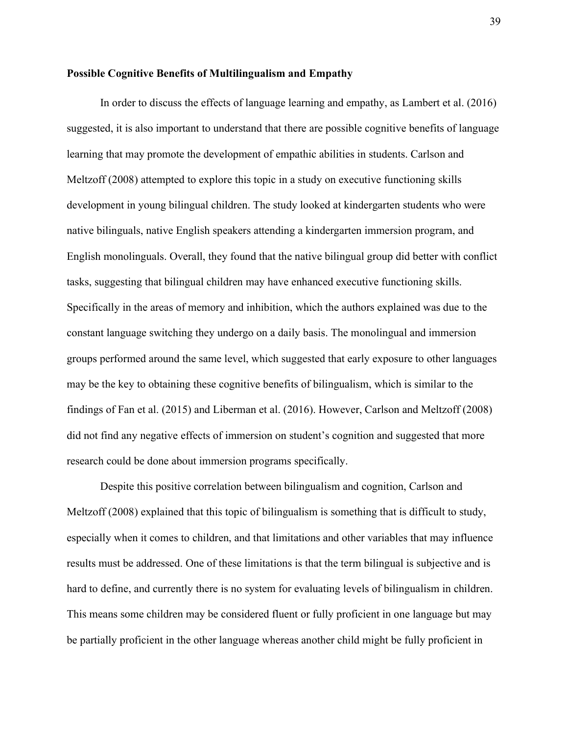#### Possible Cognitive Benefits of Multilingualism and Empathy

 In order to discuss the effects of language learning and empathy, as Lambert et al. (2016) suggested, it is also important to understand that there are possible cognitive benefits of language learning that may promote the development of empathic abilities in students. Carlson and Meltzoff (2008) attempted to explore this topic in a study on executive functioning skills development in young bilingual children. The study looked at kindergarten students who were native bilinguals, native English speakers attending a kindergarten immersion program, and English monolinguals. Overall, they found that the native bilingual group did better with conflict tasks, suggesting that bilingual children may have enhanced executive functioning skills. Specifically in the areas of memory and inhibition, which the authors explained was due to the constant language switching they undergo on a daily basis. The monolingual and immersion groups performed around the same level, which suggested that early exposure to other languages may be the key to obtaining these cognitive benefits of bilingualism, which is similar to the findings of Fan et al. (2015) and Liberman et al. (2016). However, Carlson and Meltzoff (2008) did not find any negative effects of immersion on student's cognition and suggested that more research could be done about immersion programs specifically.

 Despite this positive correlation between bilingualism and cognition, Carlson and Meltzoff (2008) explained that this topic of bilingualism is something that is difficult to study, especially when it comes to children, and that limitations and other variables that may influence results must be addressed. One of these limitations is that the term bilingual is subjective and is hard to define, and currently there is no system for evaluating levels of bilingualism in children. This means some children may be considered fluent or fully proficient in one language but may be partially proficient in the other language whereas another child might be fully proficient in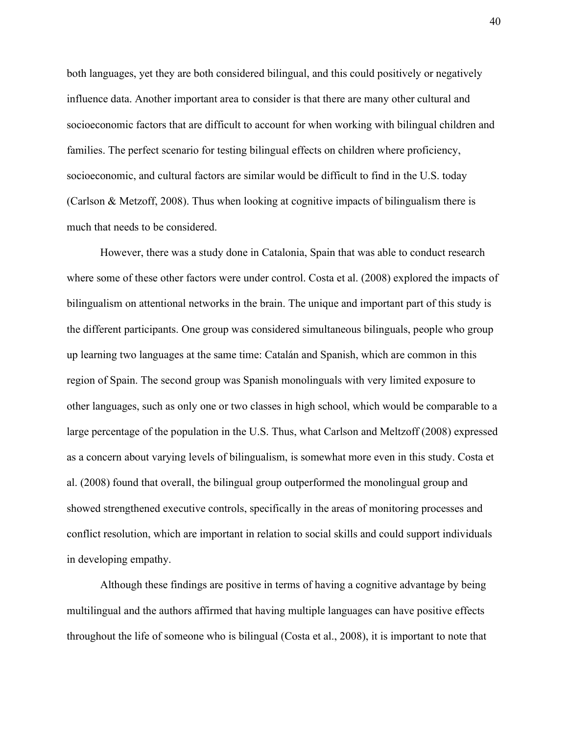both languages, yet they are both considered bilingual, and this could positively or negatively influence data. Another important area to consider is that there are many other cultural and socioeconomic factors that are difficult to account for when working with bilingual children and families. The perfect scenario for testing bilingual effects on children where proficiency, socioeconomic, and cultural factors are similar would be difficult to find in the U.S. today (Carlson & Metzoff, 2008). Thus when looking at cognitive impacts of bilingualism there is much that needs to be considered.

 However, there was a study done in Catalonia, Spain that was able to conduct research where some of these other factors were under control. Costa et al. (2008) explored the impacts of bilingualism on attentional networks in the brain. The unique and important part of this study is the different participants. One group was considered simultaneous bilinguals, people who group up learning two languages at the same time: Catalán and Spanish, which are common in this region of Spain. The second group was Spanish monolinguals with very limited exposure to other languages, such as only one or two classes in high school, which would be comparable to a large percentage of the population in the U.S. Thus, what Carlson and Meltzoff (2008) expressed as a concern about varying levels of bilingualism, is somewhat more even in this study. Costa et al. (2008) found that overall, the bilingual group outperformed the monolingual group and showed strengthened executive controls, specifically in the areas of monitoring processes and conflict resolution, which are important in relation to social skills and could support individuals in developing empathy.

 Although these findings are positive in terms of having a cognitive advantage by being multilingual and the authors affirmed that having multiple languages can have positive effects throughout the life of someone who is bilingual (Costa et al., 2008), it is important to note that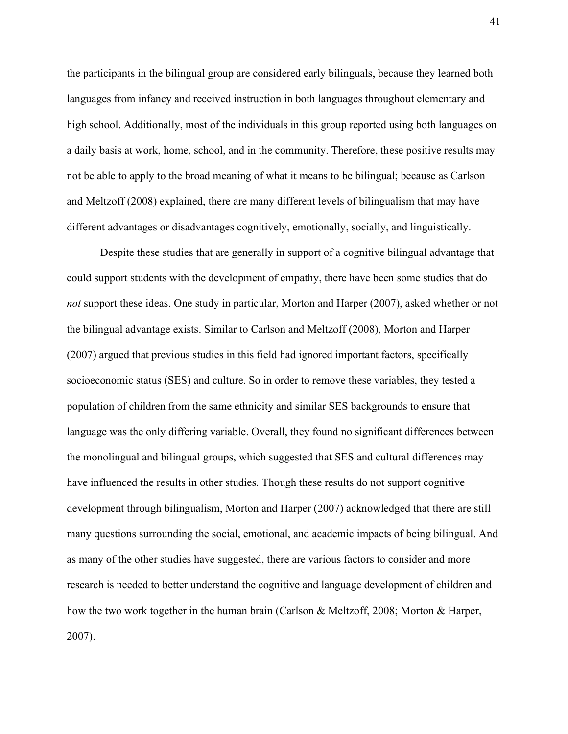the participants in the bilingual group are considered early bilinguals, because they learned both languages from infancy and received instruction in both languages throughout elementary and high school. Additionally, most of the individuals in this group reported using both languages on a daily basis at work, home, school, and in the community. Therefore, these positive results may not be able to apply to the broad meaning of what it means to be bilingual; because as Carlson and Meltzoff (2008) explained, there are many different levels of bilingualism that may have different advantages or disadvantages cognitively, emotionally, socially, and linguistically.

 Despite these studies that are generally in support of a cognitive bilingual advantage that could support students with the development of empathy, there have been some studies that do not support these ideas. One study in particular, Morton and Harper (2007), asked whether or not the bilingual advantage exists. Similar to Carlson and Meltzoff (2008), Morton and Harper (2007) argued that previous studies in this field had ignored important factors, specifically socioeconomic status (SES) and culture. So in order to remove these variables, they tested a population of children from the same ethnicity and similar SES backgrounds to ensure that language was the only differing variable. Overall, they found no significant differences between the monolingual and bilingual groups, which suggested that SES and cultural differences may have influenced the results in other studies. Though these results do not support cognitive development through bilingualism, Morton and Harper (2007) acknowledged that there are still many questions surrounding the social, emotional, and academic impacts of being bilingual. And as many of the other studies have suggested, there are various factors to consider and more research is needed to better understand the cognitive and language development of children and how the two work together in the human brain (Carlson & Meltzoff, 2008; Morton & Harper, 2007).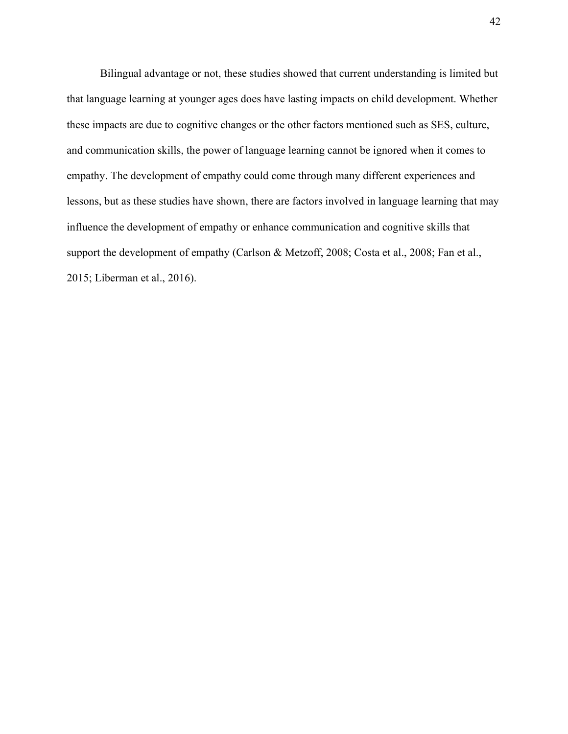Bilingual advantage or not, these studies showed that current understanding is limited but that language learning at younger ages does have lasting impacts on child development. Whether these impacts are due to cognitive changes or the other factors mentioned such as SES, culture, and communication skills, the power of language learning cannot be ignored when it comes to empathy. The development of empathy could come through many different experiences and lessons, but as these studies have shown, there are factors involved in language learning that may influence the development of empathy or enhance communication and cognitive skills that support the development of empathy (Carlson & Metzoff, 2008; Costa et al., 2008; Fan et al., 2015; Liberman et al., 2016).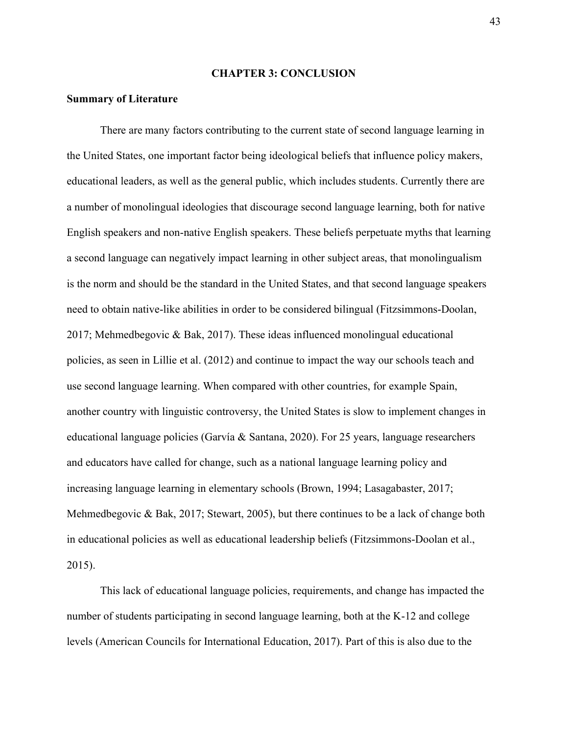#### CHAPTER 3: CONCLUSION

#### Summary of Literature

 There are many factors contributing to the current state of second language learning in the United States, one important factor being ideological beliefs that influence policy makers, educational leaders, as well as the general public, which includes students. Currently there are a number of monolingual ideologies that discourage second language learning, both for native English speakers and non-native English speakers. These beliefs perpetuate myths that learning a second language can negatively impact learning in other subject areas, that monolingualism is the norm and should be the standard in the United States, and that second language speakers need to obtain native-like abilities in order to be considered bilingual (Fitzsimmons-Doolan, 2017; Mehmedbegovic & Bak, 2017). These ideas influenced monolingual educational policies, as seen in Lillie et al. (2012) and continue to impact the way our schools teach and use second language learning. When compared with other countries, for example Spain, another country with linguistic controversy, the United States is slow to implement changes in educational language policies (Garvía & Santana, 2020). For 25 years, language researchers and educators have called for change, such as a national language learning policy and increasing language learning in elementary schools (Brown, 1994; Lasagabaster, 2017; Mehmedbegovic & Bak, 2017; Stewart, 2005), but there continues to be a lack of change both in educational policies as well as educational leadership beliefs (Fitzsimmons-Doolan et al., 2015).

 This lack of educational language policies, requirements, and change has impacted the number of students participating in second language learning, both at the K-12 and college levels (American Councils for International Education, 2017). Part of this is also due to the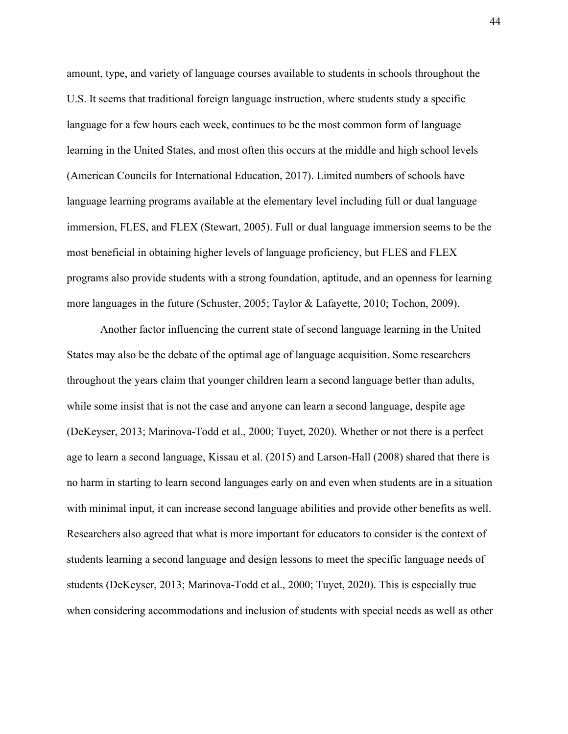amount, type, and variety of language courses available to students in schools throughout the U.S. It seems that traditional foreign language instruction, where students study a specific language for a few hours each week, continues to be the most common form of language learning in the United States, and most often this occurs at the middle and high school levels (American Councils for International Education, 2017). Limited numbers of schools have language learning programs available at the elementary level including full or dual language immersion, FLES, and FLEX (Stewart, 2005). Full or dual language immersion seems to be the most beneficial in obtaining higher levels of language proficiency, but FLES and FLEX programs also provide students with a strong foundation, aptitude, and an openness for learning more languages in the future (Schuster, 2005; Taylor & Lafayette, 2010; Tochon, 2009).

Another factor influencing the current state of second language learning in the United States may also be the debate of the optimal age of language acquisition. Some researchers throughout the years claim that younger children learn a second language better than adults, while some insist that is not the case and anyone can learn a second language, despite age (DeKeyser, 2013; Marinova-Todd et al., 2000; Tuyet, 2020). Whether or not there is a perfect age to learn a second language, Kissau et al. (2015) and Larson-Hall (2008) shared that there is no harm in starting to learn second languages early on and even when students are in a situation with minimal input, it can increase second language abilities and provide other benefits as well. Researchers also agreed that what is more important for educators to consider is the context of students learning a second language and design lessons to meet the specific language needs of students (DeKeyser, 2013; Marinova-Todd et al., 2000; Tuyet, 2020). This is especially true when considering accommodations and inclusion of students with special needs as well as other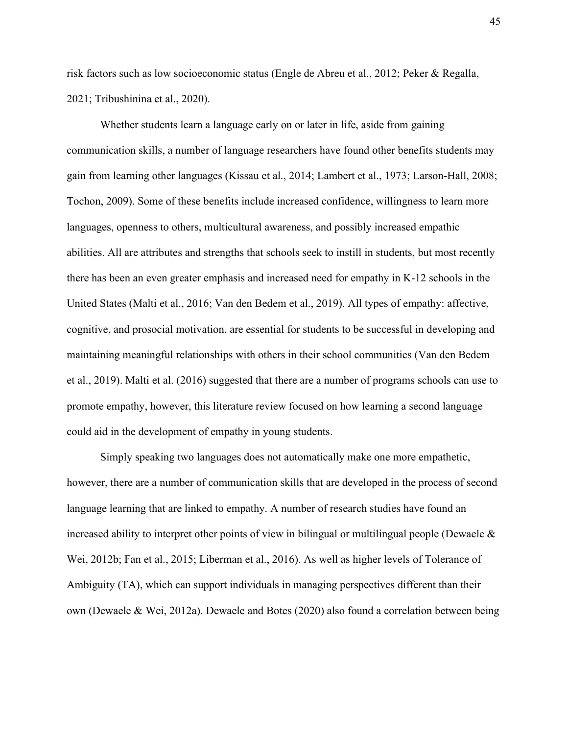risk factors such as low socioeconomic status (Engle de Abreu et al., 2012; Peker & Regalla, 2021; Tribushinina et al., 2020).

 Whether students learn a language early on or later in life, aside from gaining communication skills, a number of language researchers have found other benefits students may gain from learning other languages (Kissau et al., 2014; Lambert et al., 1973; Larson-Hall, 2008; Tochon, 2009). Some of these benefits include increased confidence, willingness to learn more languages, openness to others, multicultural awareness, and possibly increased empathic abilities. All are attributes and strengths that schools seek to instill in students, but most recently there has been an even greater emphasis and increased need for empathy in K-12 schools in the United States (Malti et al., 2016; Van den Bedem et al., 2019). All types of empathy: affective, cognitive, and prosocial motivation, are essential for students to be successful in developing and maintaining meaningful relationships with others in their school communities (Van den Bedem et al., 2019). Malti et al. (2016) suggested that there are a number of programs schools can use to promote empathy, however, this literature review focused on how learning a second language could aid in the development of empathy in young students.

 Simply speaking two languages does not automatically make one more empathetic, however, there are a number of communication skills that are developed in the process of second language learning that are linked to empathy. A number of research studies have found an increased ability to interpret other points of view in bilingual or multilingual people (Dewaele & Wei, 2012b; Fan et al., 2015; Liberman et al., 2016). As well as higher levels of Tolerance of Ambiguity (TA), which can support individuals in managing perspectives different than their own (Dewaele & Wei, 2012a). Dewaele and Botes (2020) also found a correlation between being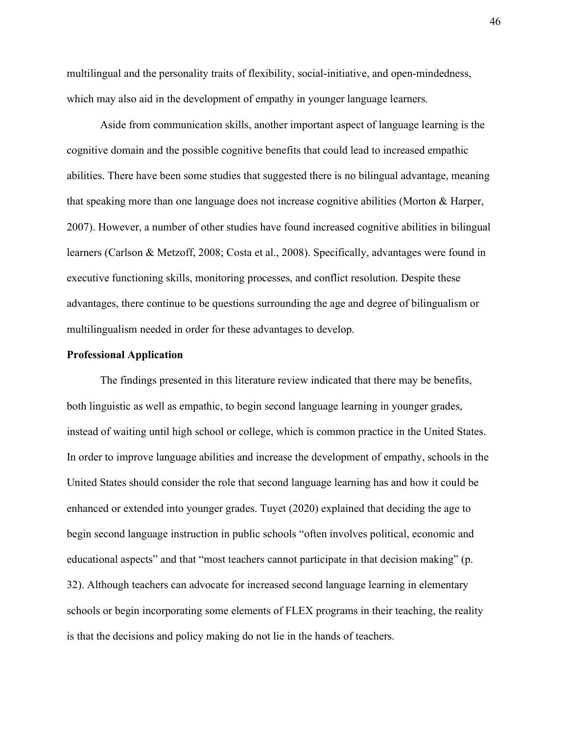multilingual and the personality traits of flexibility, social-initiative, and open-mindedness, which may also aid in the development of empathy in younger language learners.

 Aside from communication skills, another important aspect of language learning is the cognitive domain and the possible cognitive benefits that could lead to increased empathic abilities. There have been some studies that suggested there is no bilingual advantage, meaning that speaking more than one language does not increase cognitive abilities (Morton & Harper, 2007). However, a number of other studies have found increased cognitive abilities in bilingual learners (Carlson & Metzoff, 2008; Costa et al., 2008). Specifically, advantages were found in executive functioning skills, monitoring processes, and conflict resolution. Despite these advantages, there continue to be questions surrounding the age and degree of bilingualism or multilingualism needed in order for these advantages to develop.

#### Professional Application

The findings presented in this literature review indicated that there may be benefits, both linguistic as well as empathic, to begin second language learning in younger grades, instead of waiting until high school or college, which is common practice in the United States. In order to improve language abilities and increase the development of empathy, schools in the United States should consider the role that second language learning has and how it could be enhanced or extended into younger grades. Tuyet (2020) explained that deciding the age to begin second language instruction in public schools "often involves political, economic and educational aspects" and that "most teachers cannot participate in that decision making" (p. 32). Although teachers can advocate for increased second language learning in elementary schools or begin incorporating some elements of FLEX programs in their teaching, the reality is that the decisions and policy making do not lie in the hands of teachers.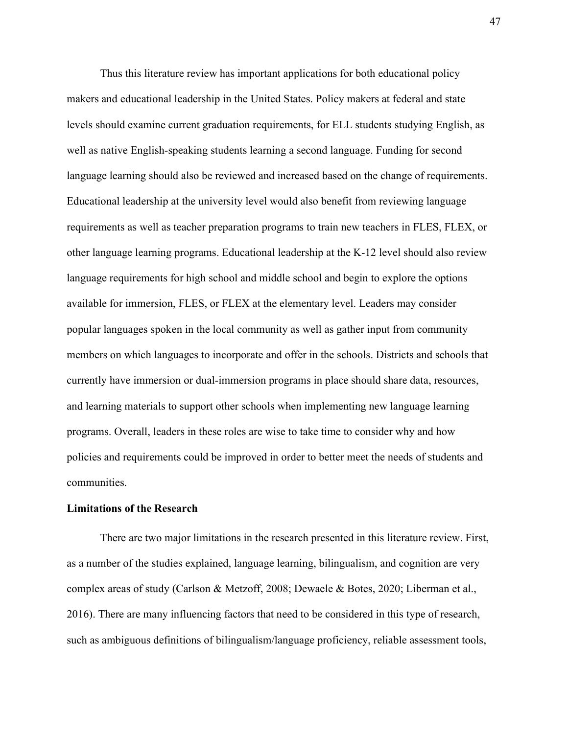Thus this literature review has important applications for both educational policy makers and educational leadership in the United States. Policy makers at federal and state levels should examine current graduation requirements, for ELL students studying English, as well as native English-speaking students learning a second language. Funding for second language learning should also be reviewed and increased based on the change of requirements. Educational leadership at the university level would also benefit from reviewing language requirements as well as teacher preparation programs to train new teachers in FLES, FLEX, or other language learning programs. Educational leadership at the K-12 level should also review language requirements for high school and middle school and begin to explore the options available for immersion, FLES, or FLEX at the elementary level. Leaders may consider popular languages spoken in the local community as well as gather input from community members on which languages to incorporate and offer in the schools. Districts and schools that currently have immersion or dual-immersion programs in place should share data, resources, and learning materials to support other schools when implementing new language learning programs. Overall, leaders in these roles are wise to take time to consider why and how policies and requirements could be improved in order to better meet the needs of students and communities.

#### Limitations of the Research

 There are two major limitations in the research presented in this literature review. First, as a number of the studies explained, language learning, bilingualism, and cognition are very complex areas of study (Carlson & Metzoff, 2008; Dewaele & Botes, 2020; Liberman et al., 2016). There are many influencing factors that need to be considered in this type of research, such as ambiguous definitions of bilingualism/language proficiency, reliable assessment tools,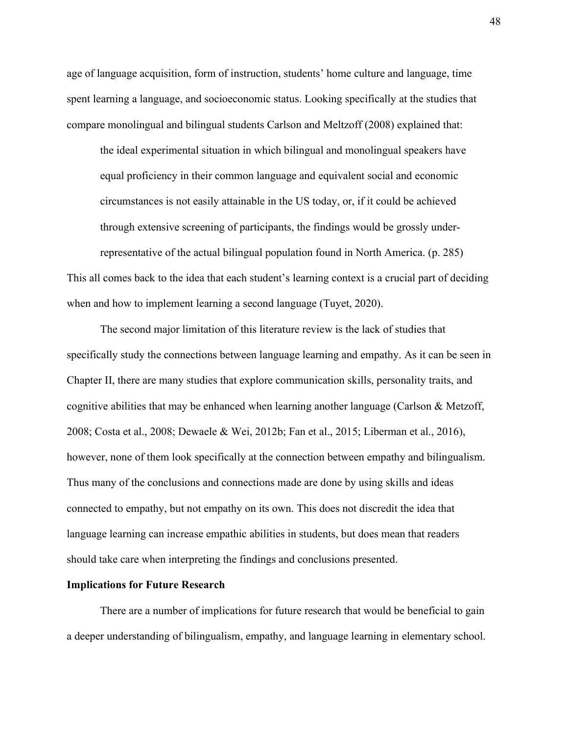age of language acquisition, form of instruction, students' home culture and language, time spent learning a language, and socioeconomic status. Looking specifically at the studies that compare monolingual and bilingual students Carlson and Meltzoff (2008) explained that:

the ideal experimental situation in which bilingual and monolingual speakers have equal proficiency in their common language and equivalent social and economic circumstances is not easily attainable in the US today, or, if it could be achieved through extensive screening of participants, the findings would be grossly under-

representative of the actual bilingual population found in North America. (p. 285) This all comes back to the idea that each student's learning context is a crucial part of deciding when and how to implement learning a second language (Tuyet, 2020).

 The second major limitation of this literature review is the lack of studies that specifically study the connections between language learning and empathy. As it can be seen in Chapter II, there are many studies that explore communication skills, personality traits, and cognitive abilities that may be enhanced when learning another language (Carlson & Metzoff, 2008; Costa et al., 2008; Dewaele & Wei, 2012b; Fan et al., 2015; Liberman et al., 2016), however, none of them look specifically at the connection between empathy and bilingualism. Thus many of the conclusions and connections made are done by using skills and ideas connected to empathy, but not empathy on its own. This does not discredit the idea that language learning can increase empathic abilities in students, but does mean that readers should take care when interpreting the findings and conclusions presented.

#### Implications for Future Research

There are a number of implications for future research that would be beneficial to gain a deeper understanding of bilingualism, empathy, and language learning in elementary school.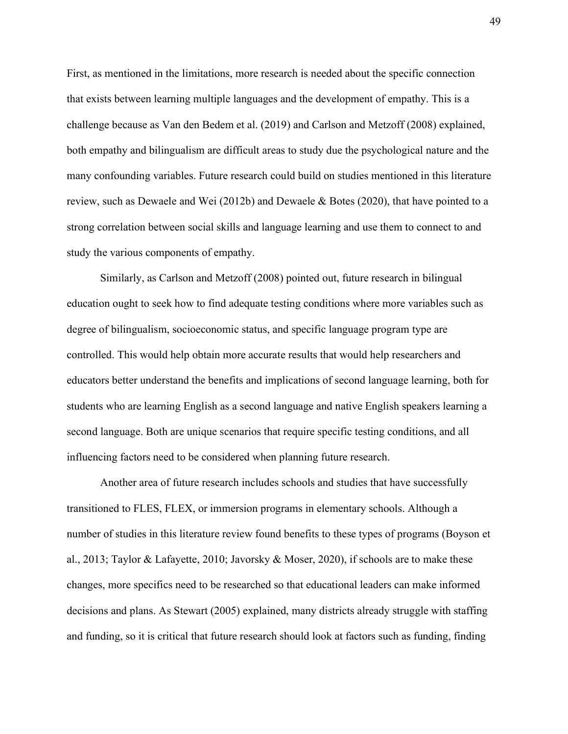First, as mentioned in the limitations, more research is needed about the specific connection that exists between learning multiple languages and the development of empathy. This is a challenge because as Van den Bedem et al. (2019) and Carlson and Metzoff (2008) explained, both empathy and bilingualism are difficult areas to study due the psychological nature and the many confounding variables. Future research could build on studies mentioned in this literature review, such as Dewaele and Wei (2012b) and Dewaele & Botes (2020), that have pointed to a strong correlation between social skills and language learning and use them to connect to and study the various components of empathy.

Similarly, as Carlson and Metzoff (2008) pointed out, future research in bilingual education ought to seek how to find adequate testing conditions where more variables such as degree of bilingualism, socioeconomic status, and specific language program type are controlled. This would help obtain more accurate results that would help researchers and educators better understand the benefits and implications of second language learning, both for students who are learning English as a second language and native English speakers learning a second language. Both are unique scenarios that require specific testing conditions, and all influencing factors need to be considered when planning future research.

 Another area of future research includes schools and studies that have successfully transitioned to FLES, FLEX, or immersion programs in elementary schools. Although a number of studies in this literature review found benefits to these types of programs (Boyson et al., 2013; Taylor & Lafayette, 2010; Javorsky & Moser, 2020), if schools are to make these changes, more specifics need to be researched so that educational leaders can make informed decisions and plans. As Stewart (2005) explained, many districts already struggle with staffing and funding, so it is critical that future research should look at factors such as funding, finding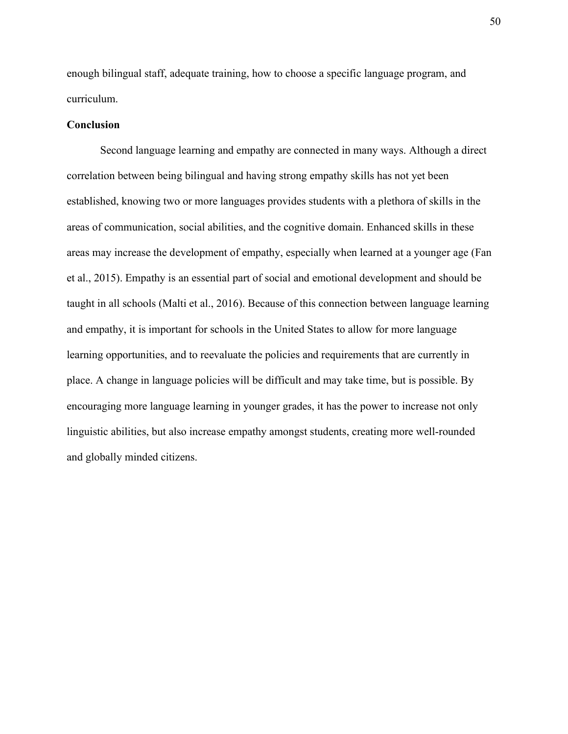enough bilingual staff, adequate training, how to choose a specific language program, and curriculum.

#### **Conclusion**

 Second language learning and empathy are connected in many ways. Although a direct correlation between being bilingual and having strong empathy skills has not yet been established, knowing two or more languages provides students with a plethora of skills in the areas of communication, social abilities, and the cognitive domain. Enhanced skills in these areas may increase the development of empathy, especially when learned at a younger age (Fan et al., 2015). Empathy is an essential part of social and emotional development and should be taught in all schools (Malti et al., 2016). Because of this connection between language learning and empathy, it is important for schools in the United States to allow for more language learning opportunities, and to reevaluate the policies and requirements that are currently in place. A change in language policies will be difficult and may take time, but is possible. By encouraging more language learning in younger grades, it has the power to increase not only linguistic abilities, but also increase empathy amongst students, creating more well-rounded and globally minded citizens.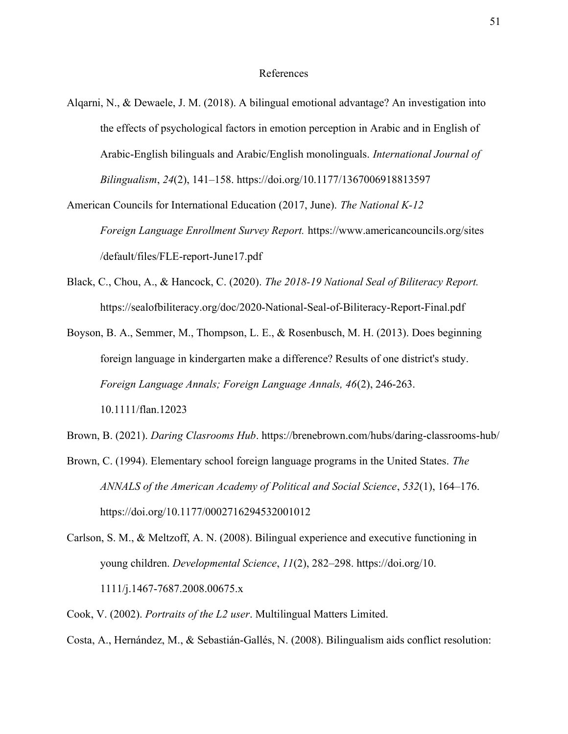#### References

- Alqarni, N., & Dewaele, J. M. (2018). A bilingual emotional advantage? An investigation into the effects of psychological factors in emotion perception in Arabic and in English of Arabic-English bilinguals and Arabic/English monolinguals. International Journal of Bilingualism, 24(2), 141–158. https://doi.org/10.1177/1367006918813597
- American Councils for International Education (2017, June). The National K-12 Foreign Language Enrollment Survey Report. https://www.americancouncils.org/sites /default/files/FLE-report-June17.pdf
- Black, C., Chou, A., & Hancock, C. (2020). The 2018-19 National Seal of Biliteracy Report. https://sealofbiliteracy.org/doc/2020-National-Seal-of-Biliteracy-Report-Final.pdf
- Boyson, B. A., Semmer, M., Thompson, L. E., & Rosenbusch, M. H. (2013). Does beginning foreign language in kindergarten make a difference? Results of one district's study. Foreign Language Annals; Foreign Language Annals, 46(2), 246-263. 10.1111/flan.12023
- Brown, B. (2021). Daring Clasrooms Hub. https://brenebrown.com/hubs/daring-classrooms-hub/
- Brown, C. (1994). Elementary school foreign language programs in the United States. The ANNALS of the American Academy of Political and Social Science, 532(1), 164–176. https://doi.org/10.1177/0002716294532001012
- Carlson, S. M., & Meltzoff, A. N. (2008). Bilingual experience and executive functioning in young children. Developmental Science, 11(2), 282–298. https://doi.org/10. 1111/j.1467-7687.2008.00675.x
- Cook, V. (2002). Portraits of the L2 user. Multilingual Matters Limited.
- Costa, A., Hernández, M., & Sebastián-Gallés, N. (2008). Bilingualism aids conflict resolution: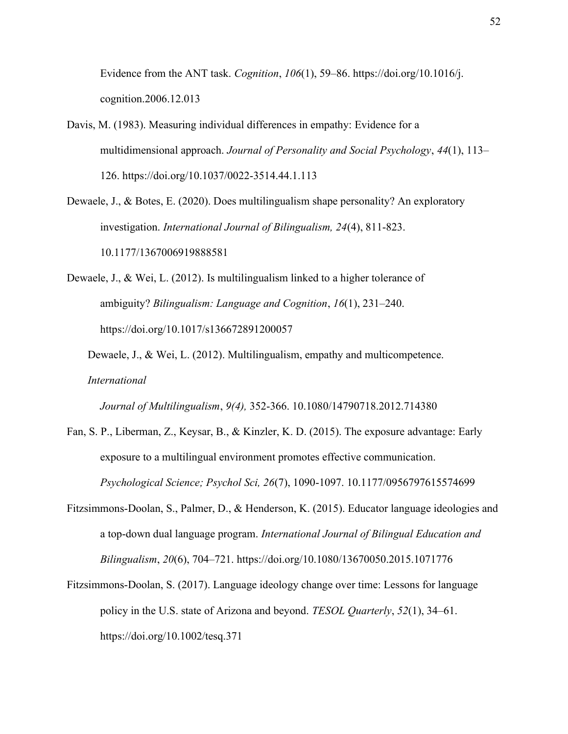Evidence from the ANT task. Cognition,  $106(1)$ , 59–86. https://doi.org/10.1016/j. cognition.2006.12.013

- Davis, M. (1983). Measuring individual differences in empathy: Evidence for a multidimensional approach. Journal of Personality and Social Psychology, 44(1), 113– 126. https://doi.org/10.1037/0022-3514.44.1.113
- Dewaele, J., & Botes, E. (2020). Does multilingualism shape personality? An exploratory investigation. International Journal of Bilingualism, 24(4), 811-823. 10.1177/1367006919888581
- Dewaele, J., & Wei, L. (2012). Is multilingualism linked to a higher tolerance of ambiguity? Bilingualism: Language and Cognition, 16(1), 231–240. https://doi.org/10.1017/s136672891200057
	- Dewaele, J., & Wei, L. (2012). Multilingualism, empathy and multicompetence. International

Journal of Multilingualism, 9(4), 352-366. 10.1080/14790718.2012.714380

- Fan, S. P., Liberman, Z., Keysar, B., & Kinzler, K. D. (2015). The exposure advantage: Early exposure to a multilingual environment promotes effective communication. Psychological Science; Psychol Sci, 26(7), 1090-1097. 10.1177/0956797615574699
- Fitzsimmons-Doolan, S., Palmer, D., & Henderson, K. (2015). Educator language ideologies and a top-down dual language program. International Journal of Bilingual Education and Bilingualism, 20(6), 704–721. https://doi.org/10.1080/13670050.2015.1071776
- Fitzsimmons-Doolan, S. (2017). Language ideology change over time: Lessons for language policy in the U.S. state of Arizona and beyond. TESOL Quarterly, 52(1), 34–61. https://doi.org/10.1002/tesq.371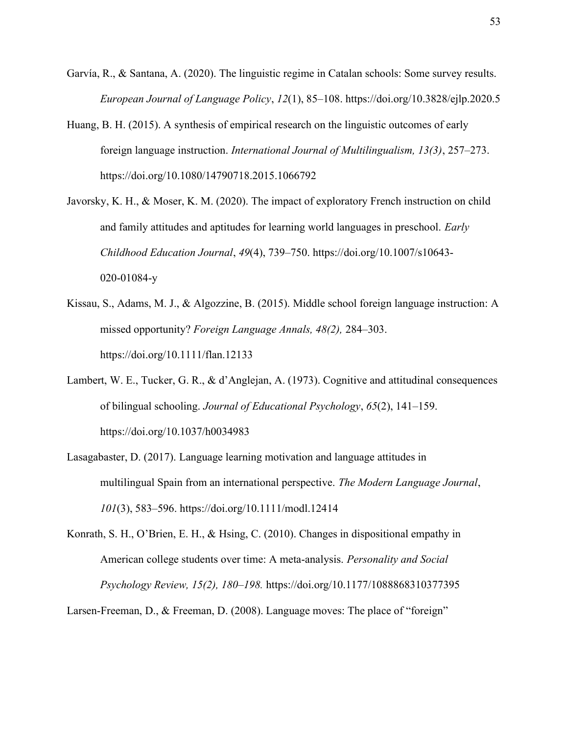- Garvía, R., & Santana, A. (2020). The linguistic regime in Catalan schools: Some survey results. European Journal of Language Policy, 12(1), 85–108. https://doi.org/10.3828/ejlp.2020.5
- Huang, B. H. (2015). A synthesis of empirical research on the linguistic outcomes of early foreign language instruction. International Journal of Multilingualism, 13(3), 257–273. https://doi.org/10.1080/14790718.2015.1066792
- Javorsky, K. H., & Moser, K. M. (2020). The impact of exploratory French instruction on child and family attitudes and aptitudes for learning world languages in preschool. *Early* Childhood Education Journal, 49(4), 739–750. https://doi.org/10.1007/s10643- 020-01084-y
- Kissau, S., Adams, M. J., & Algozzine, B. (2015). Middle school foreign language instruction: A missed opportunity? Foreign Language Annals, 48(2), 284–303. https://doi.org/10.1111/flan.12133
- Lambert, W. E., Tucker, G. R., & d'Anglejan, A. (1973). Cognitive and attitudinal consequences of bilingual schooling. Journal of Educational Psychology, 65(2), 141–159. https://doi.org/10.1037/h0034983
- Lasagabaster, D. (2017). Language learning motivation and language attitudes in multilingual Spain from an international perspective. The Modern Language Journal, 101(3), 583–596. https://doi.org/10.1111/modl.12414
- Konrath, S. H., O'Brien, E. H., & Hsing, C. (2010). Changes in dispositional empathy in American college students over time: A meta-analysis. Personality and Social Psychology Review, 15(2), 180–198. https://doi.org/10.1177/1088868310377395

Larsen-Freeman, D., & Freeman, D. (2008). Language moves: The place of "foreign"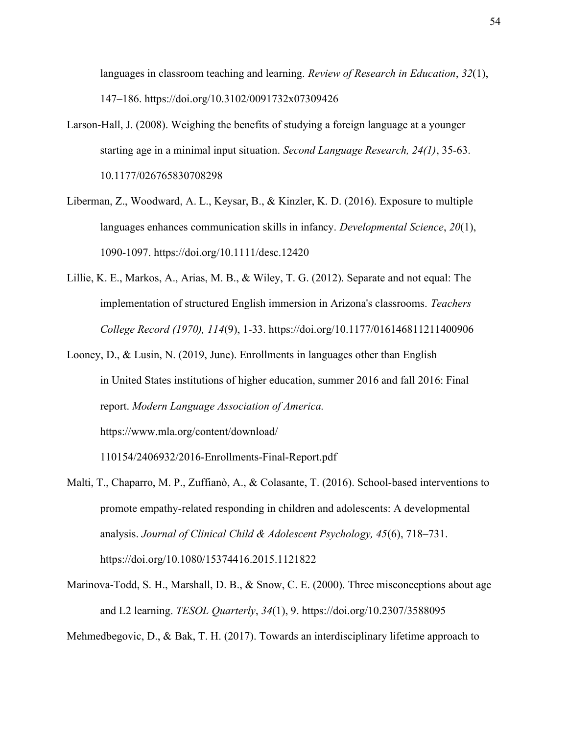languages in classroom teaching and learning. Review of Research in Education, 32(1), 147–186. https://doi.org/10.3102/0091732x07309426

- Larson-Hall, J. (2008). Weighing the benefits of studying a foreign language at a younger starting age in a minimal input situation. Second Language Research, 24(1), 35-63. 10.1177/026765830708298
- Liberman, Z., Woodward, A. L., Keysar, B., & Kinzler, K. D. (2016). Exposure to multiple languages enhances communication skills in infancy. Developmental Science, 20(1), 1090-1097. https://doi.org/10.1111/desc.12420
- Lillie, K. E., Markos, A., Arias, M. B., & Wiley, T. G. (2012). Separate and not equal: The implementation of structured English immersion in Arizona's classrooms. Teachers College Record (1970), 114(9), 1-33. https://doi.org/10.1177/016146811211400906
- Looney, D., & Lusin, N. (2019, June). Enrollments in languages other than English in United States institutions of higher education, summer 2016 and fall 2016: Final report. Modern Language Association of America. https://www.mla.org/content/download/

110154/2406932/2016-Enrollments-Final-Report.pdf

- Malti, T., Chaparro, M. P., Zuffianò, A., & Colasante, T. (2016). School-based interventions to promote empathy-related responding in children and adolescents: A developmental analysis. Journal of Clinical Child & Adolescent Psychology,  $45(6)$ ,  $718-731$ . https://doi.org/10.1080/15374416.2015.1121822
- Marinova-Todd, S. H., Marshall, D. B., & Snow, C. E. (2000). Three misconceptions about age and L2 learning. TESOL Quarterly, 34(1), 9. https://doi.org/10.2307/3588095

Mehmedbegovic, D., & Bak, T. H. (2017). Towards an interdisciplinary lifetime approach to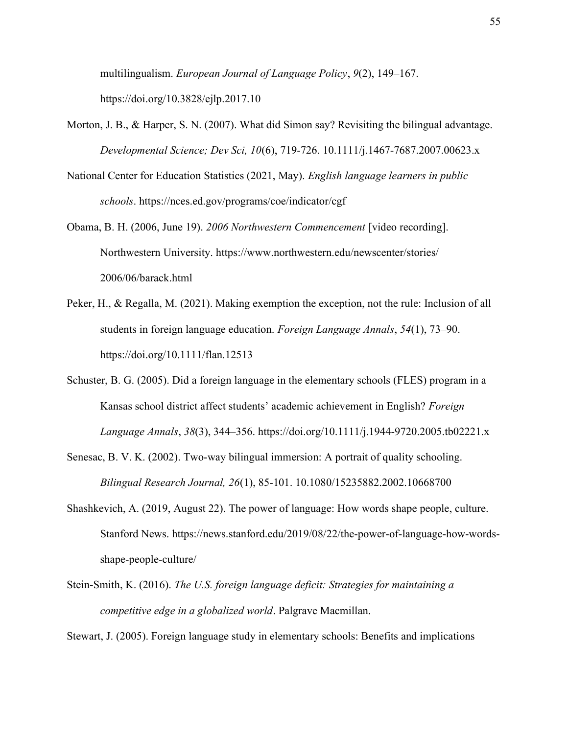multilingualism. European Journal of Language Policy, 9(2), 149–167. https://doi.org/10.3828/ejlp.2017.10

- Morton, J. B., & Harper, S. N. (2007). What did Simon say? Revisiting the bilingual advantage. Developmental Science; Dev Sci, 10(6), 719-726. 10.1111/j.1467-7687.2007.00623.x
- National Center for Education Statistics (2021, May). English language learners in public schools. https://nces.ed.gov/programs/coe/indicator/cgf
- Obama, B. H. (2006, June 19). 2006 Northwestern Commencement [video recording]. Northwestern University. https://www.northwestern.edu/newscenter/stories/ 2006/06/barack.html
- Peker, H., & Regalla, M. (2021). Making exemption the exception, not the rule: Inclusion of all students in foreign language education. Foreign Language Annals, 54(1), 73–90. https://doi.org/10.1111/flan.12513
- Schuster, B. G. (2005). Did a foreign language in the elementary schools (FLES) program in a Kansas school district affect students' academic achievement in English? Foreign Language Annals, 38(3), 344–356. https://doi.org/10.1111/j.1944-9720.2005.tb02221.x
- Senesac, B. V. K. (2002). Two-way bilingual immersion: A portrait of quality schooling. Bilingual Research Journal, 26(1), 85-101. 10.1080/15235882.2002.10668700
- Shashkevich, A. (2019, August 22). The power of language: How words shape people, culture. Stanford News. https://news.stanford.edu/2019/08/22/the-power-of-language-how-wordsshape-people-culture/
- Stein-Smith, K. (2016). The U.S. foreign language deficit: Strategies for maintaining a competitive edge in a globalized world. Palgrave Macmillan.

Stewart, J. (2005). Foreign language study in elementary schools: Benefits and implications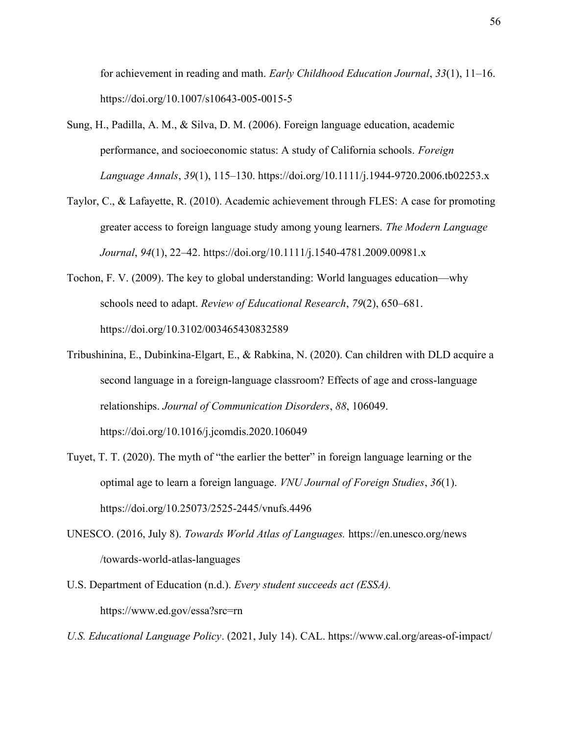for achievement in reading and math. Early Childhood Education Journal, 33(1), 11–16. https://doi.org/10.1007/s10643-005-0015-5

- Sung, H., Padilla, A. M., & Silva, D. M. (2006). Foreign language education, academic performance, and socioeconomic status: A study of California schools. Foreign Language Annals, 39(1), 115–130. https://doi.org/10.1111/j.1944-9720.2006.tb02253.x
- Taylor, C., & Lafayette, R. (2010). Academic achievement through FLES: A case for promoting greater access to foreign language study among young learners. The Modern Language Journal, 94(1), 22–42. https://doi.org/10.1111/j.1540-4781.2009.00981.x
- Tochon, F. V. (2009). The key to global understanding: World languages education—why schools need to adapt. Review of Educational Research, 79(2), 650–681. https://doi.org/10.3102/003465430832589
- Tribushinina, E., Dubinkina-Elgart, E., & Rabkina, N. (2020). Can children with DLD acquire a second language in a foreign-language classroom? Effects of age and cross-language relationships. Journal of Communication Disorders, 88, 106049. https://doi.org/10.1016/j.jcomdis.2020.106049
- Tuyet, T. T. (2020). The myth of "the earlier the better" in foreign language learning or the optimal age to learn a foreign language. *VNU Journal of Foreign Studies*, 36(1). https://doi.org/10.25073/2525-2445/vnufs.4496
- UNESCO. (2016, July 8). Towards World Atlas of Languages. https://en.unesco.org/news /towards-world-atlas-languages
- U.S. Department of Education (n.d.). Every student succeeds act (ESSA). https://www.ed.gov/essa?src=rn
- U.S. Educational Language Policy. (2021, July 14). CAL. https://www.cal.org/areas-of-impact/